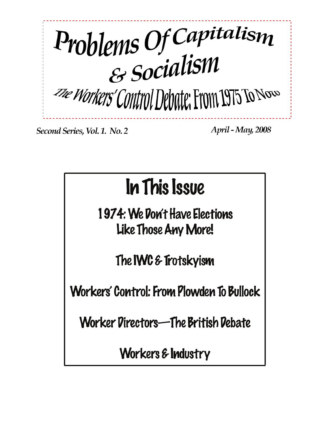# Problems Of Capitalism

The Workers' Control Debate: From 1975 To Now

Second Series, Vol. 1. No. 2

April - May, 2008

# In This Issue

**1974: We Don't Have Elections** Like Those Any More!

The IWC & Trotskyism

Workers' Control: From Plowden To Bullock

Worker Directors-The British Debate

Workers & Industry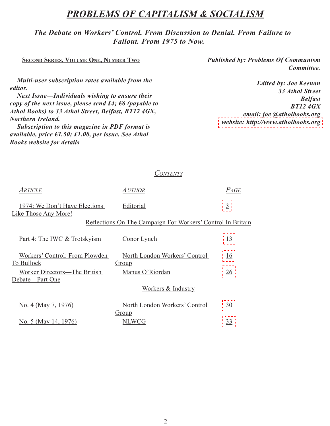### *Problems of Capitalism & Socialism*

*The Debate on Workers' Control. From Discussion to Denial. From Failure to Fallout. From 1975 to Now.*

|  |  |  | <b>SECOND SERIES, VOLUME ONE, NUMBER TWO</b> |  |  |  |
|--|--|--|----------------------------------------------|--|--|--|
|--|--|--|----------------------------------------------|--|--|--|

*Multi-user subscription rates available from the editor.*

*Next Issue—Individuals wishing to ensure their copy of the next issue, please send £4; €6 (payable to Athol Books) to 33 Athol Street, Belfast, BT12 4GX, Northern Ireland.*

*Subscription to this magazine in PDF format is available, price €1.50; £1.00, per issue. See Athol Books website for details*

**Published by: Problems Of Communism** *Committee.*

> *Edited by: Joe Keenan 33 Athol Street Belfast BT12 4GX email: joe @atholbooks.org [website: http://www.atholbooks.org](http://www.atholbooks.org/)*

### *Contents*

| <i>Article</i>                                               | Author                                                      | $P_{AGE}$      |
|--------------------------------------------------------------|-------------------------------------------------------------|----------------|
| 1974: We Don't Have Elections<br><b>Like Those Any More!</b> | Editorial                                                   | $\overline{3}$ |
|                                                              | Reflections On The Campaign For Workers' Control In Britain |                |
| Part 4: The IWC & Trotskyism                                 | Conor Lynch                                                 | <u>13</u>      |
| Workers' Control: From Plowden<br>To Bullock                 | North London Workers' Control<br>Group                      | 16             |
| Worker Directors—The British<br>Debate—Part One              | Manus O'Riordan                                             | 26             |
|                                                              | Workers & Industry                                          |                |
| <u>No. 4 (May 7, 1976)</u>                                   | North London Workers' Control<br>Group                      | 30             |
| No. 5 (May 14, 1976)                                         | <b>NLWCG</b>                                                | <u>33</u>      |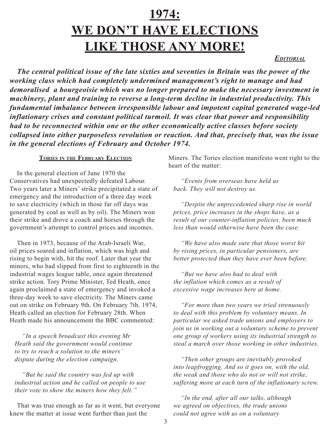# **1974: We Don't Have Elections Like Those Any More!**

### *Editorial*

<span id="page-2-0"></span>*The central political issue of the late sixties and seventies in Britain was the power of the working class which had completely undermined management's right to manage and had demoralised a bourgeoisie which was no longer prepared to make the necessary investment in machinery, plant and training to reverse a long-term decline in industrial productivity. This fundamental imbalance between irresponsible labour and impotent capital generated wage-led inflationary crises and constant political turmoil. It was clear that power and responsibility had to be reconnected within one or the other economically active classes before society collapsed into either purposeless revolution or reaction. And that, precisely that, was the issue in the general elections of February and October 1974.*

### **Tories in the February Election**

In the general election of June 1970 the Conservatives had unexpectedly defeated Labour. Two years later a Miners' strike precipitated a state of emergency and the introduction of a three day week to save electricity (which in those far off days was generated by coal as well as by oil). The Miners won their strike and drove a coach and horses through the government's attempt to control prices and incomes.

Then in 1973, because of the Arab-Israeli War, oil prices soared and inflation, which was high and rising to begin with, hit the roof. Later that year the miners, who had slipped from first to eighteenth in the industrial wages league table, once again threatened strike action. Tory Prime Minister, Ted Heath, once again proclaimed a state of emergency and invoked a three-day week to save electricity. The Miners came out on strike on February 9th. On February 7th. 1974, Heath called an election for February 28th. When Heath made his announcement the BBC commented:

*"In a speech broadcast this evening Mr Heath said the government would continue to try to reach a solution to the miners' dispute during the election campaign.*

*"But he said the country was fed up with industrial action and he called on people to use their vote to show the miners how they felt."*

That was true enough as far as it went, but everyone knew the matter at issue went further than just the

Miners. The Tories election manifesto went right to the heart of the matter:

*"Events from overseas have held us back. They will not destroy us.*

*"Despite the unprecedented sharp rise in world prices, price increases in the shops have, as a result of our counter-inflation policies, been much less than would otherwise have been the case.*

*"We have also made sure that those worst hit by rising prices, in particular pensioners, are better protected than they have ever been before.*

*"But we have also had to deal with the inflation which comes as a result of excessive wage increases here at home.*

*"For more than two years we tried strenuously to deal with this problem by voluntary means. In particular we asked trade unions and employers to join us in working out a voluntary scheme to prevent one group of workers using its industrial strength to steal a march over those working in other industries.*

*"Then other groups are inevitably provoked into leapfrogging. And so it goes on, with the old, the weak and those who do not or will not strike, suffering more at each turn of the inflationary screw.*

*"In the end, after all our talks, although we agreed on objectives, the trade unions could not agree with us on a voluntary*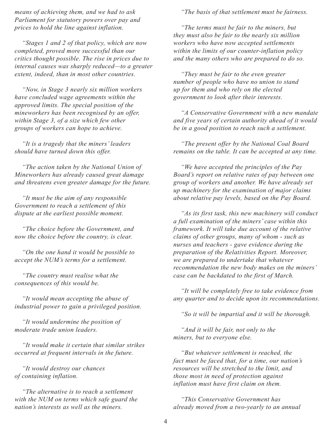*means of achieving them, and we had to ask Parliament for statutory powers over pay and prices to hold the line against inflation.*

*"Stages 1 and 2 of that policy, which are now completed, proved more successful than our critics thought possible. The rise in prices due to internal causes was sharply reduced—to a greater extent, indeed, than in most other countries.*

*"Now, in Stage 3 nearly six million workers have concluded wage agreements within the approved limits. The special position of the mineworkers has been recognised by an offer, within Stage 3, of a size which few other groups of workers can hope to achieve.*

*"It is a tragedy that the miners' leaders should have turned down this offer.*

*"The action taken by the National Union of Mineworkers has already caused great damage and threatens even greater damage for the future.*

*"It must be the aim of any responsible Government to reach a settlement of this dispute at the earliest possible moment.*

*"The choice before the Government, and now the choice before the country, is clear.*

*"On the one hand it would be possible to accept the NUM's terms for a settlement.*

*"The country must realise what the consequences of this would be.*

*"It would mean accepting the abuse of industrial power to gain a privileged position.*

*"It would undermine the position of moderate trade union leaders.*

*"It would make it certain that similar strikes occurred at frequent intervals in the future.*

*"It would destroy our chances of containing inflation.*

*"The alternative is to reach a settlement with the NUM on terms which safe guard the nation's interests as well as the miners.*

*"The basis of that settlement must be fairness.*

*"The terms must be fair to the miners, but they must also be fair to the nearly six million workers who have now accepted settlements within the limits of our counter-inflation policy and the many others who are prepared to do so.*

*"They must be fair to the even greater number of people who have no union to stand up for them and who rely on the elected government to look after their interests.*

*"A Conservative Government with a new mandate and five years of certain authority ahead of it would be in a good position to reach such a settlement.*

*"The present offer by the National Coal Board remains on the table. It can be accepted at any time.*

*"We have accepted the principles of the Pay Board's report on relative rates of pay between one group of workers and another. We have already set up machinery for the examination of major claims about relative pay levels, based on the Pay Board.*

*"As its first task, this new machinery will conduct a full examination of the miners' case within this framework. It will take due account of the relative claims of other groups, many of whom - such as nurses and teachers - gave evidence during the preparation of the Relativities Report. Moreover, we are prepared to undertake that whatever recommendation the new body makes on the miners' case can be backdated to the first of March.*

*"It will be completely free to take evidence from any quarter and to decide upon its recommendations.*

*"So it will be impartial and it will be thorough.*

*"And it will be fair, not only to the miners, but to everyone else.*

*"But whatever settlement is reached, the fact must be faced that, for a time, our nation's resources will be stretched to the limit, and those most in need of protection against inflation must have first claim on them.*

*"This Conservative Government has already moved from a two-yearly to an annual*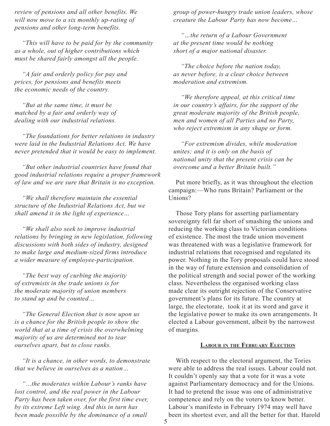*review of pensions and all other benefits. We will now move to a six monthly up-rating of pensions and other long-term benefits.*

*"This will have to be paid for by the community as a whole, out of higher contributions which must be shared fairly amongst all the people.*

*"A fair and orderly policy for pay and prices, for pensions and benefits meets the economic needs of the country.*

*"But at the same time, it must be matched by a fair and orderly way of dealing with our industrial relations.*

*"The foundations for better relations in industry were laid in the Industrial Relations Act. We have never pretended that it would be easy to implement.*

*"But other industrial countries have found that good industrial relations require a proper framework of law and we are sure that Britain is no exception.*

*"We shall therefore maintain the essential structure of the Industrial Relations Act, but we shall amend it in the light of experience…*

*"We shall also seek to improve industrial relations by bringing in new legislation, following discussions with both sides of industry, designed to make large and medium-sized firms introduce a wider measure of employee-participation.*

*"The best way of curbing the majority of extremists in the trade unions is for the moderate majority of union members to stand up and be counted…*

*"The General Election that is now upon us is a chance for the British people to show the world that at a time of crisis the overwhelming majority of us are determined not to tear ourselves apart, but to close ranks.*

*"It is a chance, in other words, to demonstrate that we believe in ourselves as a nation…*

*"…the moderates within Labour's ranks have lost control, and the real power in the Labour Party has been taken over, for the first time ever, by its extreme Left wing. And this in turn has been made possible by the dominance of a small* 

*group of power-hungry trade union leaders, whose creature the Labour Party has now become…*

*"…the return of a Labour Government at the present time would be nothing short of a major national disaster.*

*"The choice before the nation today, as never before, is a clear choice between moderation and extremism.*

*"We therefore appeal, at this critical time in our country's affairs, for the support of the great moderate majority of the British people, men and women of all Parties and no Party, who reject extremism in any shape or form.*

*"For extremism divides, while moderation unites; and it is only on the basis of national unity that the present crisis can be overcome and a better Britain built."*

Put more briefly, as it was throughout the election campaign:—Who runs Britain? Parliament or the Unions?

Those Tory plans for asserting parliamentary sovereignty fell far short of smashing the unions and reducing the working class to Victorian conditions of existence. The most the trade union movement was threatened with was a legislative framework for industrial relations that recognised and regulated its power. Nothing in the Tory proposals could have stood in the way of future extension and consolidation of the political strength and social power of the working class. Nevertheless the organised working class made clear its outright rejection of the Conservative government's plans for its future. The country at large, the electorate, took it at its word and gave it the legislative power to make its own arrangements. It elected a Labour government, albeit by the narrowest of margins.

### **Labour in the February Election**

With respect to the electoral argument, the Tories were able to address the real issues. Labour could not. It couldn't openly say that a vote for it was a vote against Parliamentary democracy and for the Unions. It had to pretend the issue was one of administrative competence and rely on the voters to know better. Labour's manifesto in February 1974 may well have been its shortest ever, and all the better for that. Harold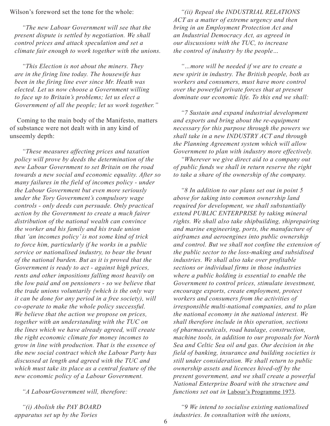Wilson's foreword set the tone for the whole:

*"The new Labour Government will see that the present dispute is settled by negotiation. We shall control prices and attack speculation and set a climate fair enough to work together with the unions.*

*"This Election is not about the miners. They are in the firing line today. The housewife has been in the firing line ever since Mr. Heath was elected. Let us now choose a Government willing to face up to Britain's problems; let us elect a Government of all the people; let us work together."*

Coming to the main body of the Manifesto, matters of substance were not dealt with in any kind of unseemly depth:

*"These measures affecting prices and taxation policy will prove by deeds the determination of the new Labour Government to set Britain on the road towards a new social and economic equality. After so many failures in the field of incomes policy - under the Labour Government but even more seriously under the Tory Government's compulsory wage controls - only deeds can persuade. Only practical action by the Government to create a much fairer distribution of the national wealth can convince the worker and his family and his trade union that 'an incomes policy' is not some kind of trick to force him, particularly if he works in a public service or nationalised industry, to bear the brunt of the national burden. But as it is proved that the Government is ready to act - against high prices, rents and other impositions falling most heavily on the low paid and on pensioners - so we believe that the trade unions voluntarily (which is the only way it can be done for any period in a free society), will co-operate to make the whole policy successful. We believe that the action we propose on prices, together with an understanding with the TUC on the lines which we have already agreed, will create the right economic climate for money incomes to grow in line with production. That is the essence of the new social contract which the Labour Party has discussed at length and agreed with the TUC and which must take its place as a central feature of the new economic policy of a Labour Government.*

*"A LabourGovernment will, therefore:*

*"(i) Abolish the PAY BOARD apparatus set up by the Tories*

*"(ii) Repeal the INDUSTRIAL RELATIONS ACT as a matter of extreme urgency and then bring in an Employment Protection Act and an Industrial Democracy Act, as agreed in our discussions with the TUC, to increase the control of industry by the people…*

*"…more will be needed if we are to create a new spirit in industry. The British people, both as workers and consumers, must have more control over the powerful private forces that at present dominate our economic life. To this end we shall:*

*"7 Sustain and expand industrial development and exports and bring about the re-equipment necessary for this purpose through the powers we shall take in a new INDUSTRY ACT and through the Planning Agreement system which will allow Government to plan with industry more effectively. "Wherever we give direct aid to a company out of public funds we shall in return reserve the right to take a share of the ownership of the company.*

*"8 In addition to our plans set out in point 5 above for taking into common ownership land required for development, we shall substantially extend PUBLIC ENTERPRISE by taking mineral rights. We shall also take shipbuilding, shiprepairing and marine engineering, ports, the manufacture of airframes and aeroengines into public ownership and control. But we shall not confine the extension of the public sector to the loss-making and subsidised industries. We shall also take over profitable sections or individual firms in those industries where a public holding is essential to enable the Government to control prices, stimulate investment, encourage exports, create employment, protect workers and consumers from the activities of irresponsible multi-national companies, and to plan the national economy in the national interest. We shall therefore include in this operation, sections of pharmaceuticals, road haulage, construction, machine tools, in addition to our proposals for North Sea and Celtic Sea oil and gas. Our decision in the field of banking, insurance and building societies is still under consideration. We shall return to public ownership assets and licences hived-off by the present government, and we shall create a powerful National Enterprise Board with the structure and functions set out in* Labour's Programme 1973*.*

*"9 We intend to socialise existing nationalised industries. In consultation with the unions,*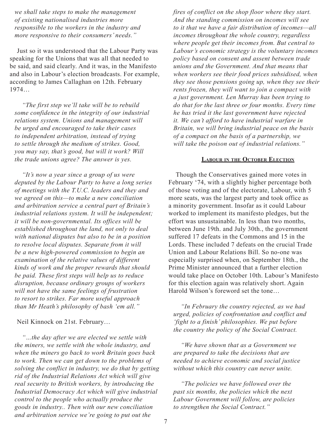*we shall take steps to make the management of existing nationalised industries more responsible to the workers in the industry and more responsive to their consumers' needs."*

Just so it was understood that the Labour Party was speaking for the Unions that was all that needed to be said, and said clearly. And it was, in the Manifesto and also in Labour's election broadcasts. For example, according to James Callaghan on 12th. February 1974…

*"The first step we'll take will be to rebuild some confidence in the integrity of our industrial relations system. Unions and management will be urged and encouraged to take their cases to independent arbitration, instead of trying to settle through the medium of strikes. Good, you may say, that's good, but will it work? Will the trade unions agree? The answer is yes.*

*"It's now a year since a group of us were deputed by the Labour Party to have a long series of meetings with the T.U.C. leaders and they and we agreed on this—to make a new conciliation and arbitration service a central part of Britain's industrial relations system. It will be independent; it will be non-governmental. Its offices will be established throughout the land, not only to deal with national disputes but also to be in a position to resolve local disputes. Separate from it will be a new high-powered commission to begin an examination of the relative values of different kinds of work and the proper rewards that should be paid. These first steps will help us to reduce disruption, because ordinary groups of workers will not have the same feelings of frustration to resort to strikes. Far more useful approach than Mr Heath's philosophy of bash 'em all."*

### Neil Kinnock on 21st. February…

*"…the day after we are elected we settle with the miners, we settle with the whole industry, and when the miners go back to work Britain goes back to work. Then we can get down to the problems of solving the conflict in industry, we do that by getting rid of the Industrial Relations Act which will give real security to British workers, by introducing the Industrial Democracy Act which will give industrial control to the people who actually produce the goods in industry.. Then with our new conciliation and arbitration service we're going to put out the* 

*fires of conflict on the shop floor where they start. And the standing commission on incomes will see to it that we have a fair distribution of incomes—all incomes throughout the whole country, regardless where people get their incomes from. But central to Labour's economic strategy is the voluntary incomes policy based on consent and assent between trade unions and the Government. And that means that when workers see their food prices subsidised, when they see those pensions going up, when they see their rents frozen, they will want to join a compact with a just government. Len Murray has been trying to do that for the last three or four months. Every time he has tried it the last government have rejected it. We can't afford to have industrial warfare in Britain, we will bring industrial peace on the basis of a compact on the basis of a partnership, we will take the poison out of industrial relations."*

### **Labour in the October Election**

Though the Conservatives gained more votes in February '74, with a slightly higher percentage both of those voting and of the electorate, Labour, with 5 more seats, was the largest party and took office as a minority government. Insofar as it could Labour worked to implement its manifesto pledges, but the effort was unsustainable. In less than two months, between June 19th. and July 30th., the government suffered 17 defeats in the Commons and 15 in the Lords. These included 7 defeats on the crucial Trade Union and Labour Relations Bill. So no-one was especially surprised when, on September 18th., the Prime Minister announced that a further election would take place on October 10th. Labour's Manifesto for this election again was relatively short. Again Harold Wilson's foreword set the tone…

*"In February the country rejected, as we had urged, policies of confrontation and conflict and 'fight to a finish' philosophies. We put before the country the policy of the Social Contract.*

*"We have shown that as a Government we are prepared to take the decisions that are needed to achieve economic and social justice without which this country can never unite.*

*"The policies we have followed over the past six months, the policies which the next Labour Government will follow, are policies to strengthen the Social Contract."*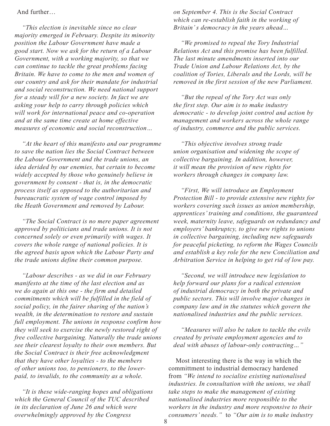### And further…

*"This election is inevitable since no clear majority emerged in February. Despite its minority position the Labour Government have made a good start. Now we ask for the return of a Labour Government, with a working majority, so that we can continue to tackle the great problems facing Britain. We have to come to the men and women of our country and ask for their mandate for industrial and social reconstruction. We need national support for a steady will for a new society. In fact we are asking your help to carry through policies which will work for international peace and co-operation and at the same time create at home effective measures of economic and social reconstruction…*

*"At the heart of this manifesto and our programme to save the nation lies the Social Contract between the Labour Government and the trade unions, an idea derided by our enemies, but certain to become widely accepted by those who genuinely believe in government by consent - that is, in the democratic process itself as opposed to the authoritarian and bureaucratic system of wage control imposed by the Heath Government and removed by Labour.*

*"The Social Contract is no mere paper agreement approved by politicians and trade unions. It is not concerned solely or even primarily with wages. It covers the whole range of national policies. It is the agreed basis upon which the Labour Party and the trade unions define their common purpose.*

*"Labour describes - as we did in our February manifesto at the time of the last election and as we do again at this one - the firm and detailed commitments which will be fulfilled in the field of social policy, in the fairer sharing of the nation's wealth, in the determination to restore and sustain full employment. The unions in response confirm how they will seek to exercise the newly restored right of free collective bargaining. Naturally the trade unions see their clearest loyalty to their own members. But the Social Contract is their free acknowledgment that they have other loyalties - to the members of other unions too, to pensioners, to the lowerpaid, to invalids, to the community as a whole.*

*"It is these wide-ranging hopes and obligations which the General Council of the TUC described in its declaration of June 26 and which were overwhelmingly approved by the Congress* 

*on September 4. This is the Social Contract which can re-establish faith in the working of Britain' s democracy in the years ahead…*

*"We promised to repeal the Tory Industrial Relations Act and this promise has been fulfilled. The last minute amendments inserted into our Trade Union and Labour Relations Act, by the coalition of Tories, Liberals and the Lords, will be removed in the first session of the new Parliament.*

*"But the repeal of the Tory Act was only the first step. Our aim is to make industry democratic - to develop joint control and action by management and workers across the whole range of industry, commerce and the public services.*

*"This objective involves strong trade union organisation and widening the scope of collective bargaining. In addition, however, it will mean the provision of new rights for workers through changes in company law.*

*"First, We will introduce an Employment Protection Bill - to provide extensive new rights for workers covering such issues as union membership, apprentices' training and conditions, the guaranteed week, maternity leave, safeguards on redundancy and employers' bankruptcy, to give new rights to unions in collective bargaining, including new safeguards for peaceful picketing, to reform the Wages Councils and establish a key role for the new Conciliation and Arbitration Service in helping to get rid of low pay.*

*"Second, we will introduce new legislation to help forward our plans for a radical extension of industrial democracy in both the private and public sectors. This will involve major changes in company law and in the statutes which govern the nationalised industries and the public services.*

*"Measures will also be taken to tackle the evils created by private employment agencies and to deal with abuses of labour-only contracting…"*

Most interesting there is the way in which the committment to industrial democracy hardened from *"We intend to socialise existing nationalised industries. In consultation with the unions, we shall take steps to make the management of existing nationalised industries more responsible to the workers in the industry and more responsive to their consumers' needs."* to *"Our aim is to make industry*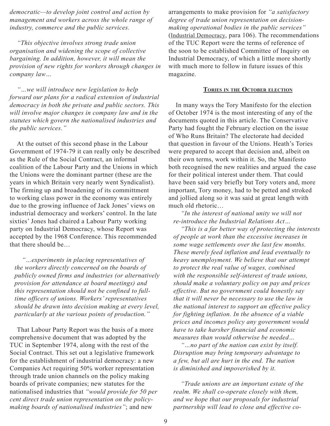*democratic—to develop joint control and action by management and workers across the whole range of industry, commerce and the public services.*

*"This objective involves strong trade union organisation and widening the scope of collective bargaining. In addition, however, it will mean the provision of new rights for workers through changes in company law…*

*"…we will introduce new legislation to help forward our plans for a radical extension of industrial democracy in both the private and public sectors. This will involve major changes in company law and in the statutes which govern the nationalised industries and the public services."*

At the outset of this second phase in the Labour Government of 1974-79 it can really only be described as the Rule of the Social Contract, an informal coalition of the Labour Party and the Unions in which the Unions were the dominant partner (these are the years in which Britain very nearly went Syndicalist). The firming up and broadening of its committment to working class power in the economy was entirely due to the growing influence of Jack Jones' views on industrial democracy and workers' control. In the late sixties' Jones had chaired a Labour Party working party on Industrial Democracy, whose Report was accepted by the 1968 Conference. This recommended that there should be…

*"…experiments in placing representatives of the workers directly concerned on the boards of publicly owned firms and industries (or alternatively provision for attendance at board meetings) and this representation should not be confined to fulltime officers of unions. Workers' representatives should be drawn into decision making at every level, particularly at the various points of production."*

That Labour Party Report was the basis of a more comprehensive document that was adopted by the TUC in September 1974, along with the rest of the Social Contract. This set out a legislative framework for the establishment of industrial democracy: a new Companies Act requiring 50% worker representation through trade union channels on the policy making boards of private companies; new statutes for the nationalised industries that *"would provide for 50 per cent direct trade union representation on the policymaking boards of nationalised industries"*; and new

arrangements to make provision for *"a satisfactory degree of trade union representation on decisionmaking operational bodies in the public services"* (Industrial Democracy, para 106). The recommendations of the TUC Report were the terms of reference of the soon to be established Committee of Inquiry on Industrial Democracy, of which a little more shortly with much more to follow in future issues of this magazine.

### **Tories in the October election**

In many ways the Tory Manifesto for the election of October 1974 is the most interesting of any of the documents quoted in this article. The Conservative Party had fought the February election on the issue of Who Runs Britain? The electorate had decided that question in favour of the Unions. Heath's Tories were prepared to accept that decision and, albeit on their own terms, work within it. So, the Manifesto both recognised the new realities and argued the case for their political interest under them. That could have been said very briefly but Tory voters and, more important, Tory money, had to be petted and stroked and jollied along so it was said at great length with much old rhetoric…

*"In the interest of national unity we will not re-introduce the Industrial Relations Act…*

*"This is a far better way of protecting the interests of people at work than the excessive increases in some wage settlements over the last few months. These merely feed inflation and lead eventually to heavy unemployment. We believe that our attempt to protect the real value of wages, combined with the responsible self-interest of trade unions, should make a voluntary policy on pay and prices effective. But no government could honestly say that it will never be necessary to use the law in the national interest to support an effective policy for fighting inflation. In the absence of a viable prices and incomes policy any government would have to take harsher financial and economic measures than would otherwise be needed…*

*"…no part of the nation can exist by itself. Disruption may bring temporary advantage to a few, but all are hurt in the end. The nation is diminished and impoverished by it.*

*"Trade unions are an important estate of the realm. We shall co-operate closely with them, and we hope that our proposals for industrial partnership will lead to close and effective co-*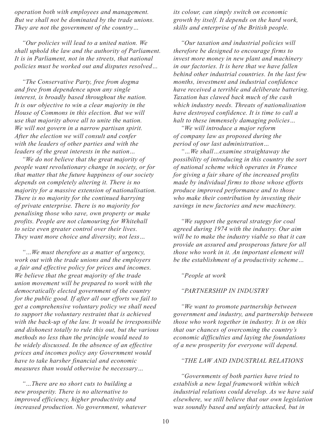*operation both with employees and management. But we shall not be dominated by the trade unions. They are not the government of the country…*

*"Our policies will lead to a united nation. We shall uphold the law and the authority of Parliament. It is in Parliament, not in the streets, that national policies must be worked out and disputes resolved…*

*"The Conservative Party, free from dogma and free from dependence upon any single interest, is broadly based throughout the nation. It is our objective to win a clear majority in the House of Commons in this election. But we will use that majority above all to unite the nation. We will not govern in a narrow partisan spirit. After the election we will consult and confer with the leaders of other parties and with the leaders of the great interests in the nation…*

*"We do not believe that the great majority of people want revolutionary change in society, or for that matter that the future happiness of our society depends on completely altering it. There is no majority for a massive extension of nationalisation. There is no majority for the continued harrying of private enterprise. There is no majority for penalising those who save, own property or make profits. People are not clamouring for Whitehall to seize even greater control over their lives. They want more choice and diversity, not less…*

*"…We must therefore as a matter of urgency, work out with the trade unions and the employers a fair and effective policy for prices and incomes. We believe that the great majority of the trade union movement will be prepared to work with the democratically elected government of the country for the public good. If after all our efforts we fail to get a comprehensive voluntary policy we shall need to support the voluntary restraint that is achieved with the back-up of the law. It would be irresponsible and dishonest totally to rule this out, but the various methods no less than the principle would need to be widely discussed. In the absence of an effective prices and incomes policy any Government would have to take harsher financial and economic measures than would otherwise be necessary…*

*"…There are no short cuts to building a new prosperity. There is no alternative to improved efficiency, higher productivity and increased production. No government, whatever*  *its colour, can simply switch on economic growth by itself. It depends on the hard work, skills and enterprise of the British people.*

*"Our taxation and industrial policies will therefore be designed to encourage firms to invest more money in new plant and machinery in our factories. It is here that we have fallen behind other industrial countries. In the last few months, investment and industrial confidence have received a terrible and deliberate battering. Taxation has clawed back much of the cash which industry needs. Threats of nationalisation have destroyed confidence. It is time to call a halt to these immensely damaging policies…*

*"We will introduce a major reform of company law as proposed during the period of our last administration…*

*"…We shall…examine straightaway the possibility of introducing in this country the sort of national scheme which operates in France for giving a fair share of the increased profits made by individual firms to those whose efforts produce improved performance and to those who make their contribution by investing their savings in new factories and new machinery.*

*"We support the general strategy for coal agreed during 1974 with the industry. Our aim will be to make the industry viable so that it can provide an assured and prosperous future for all those who work in it. An important element will be the establishment of a productivity scheme…*

*"People at work*

### *"PARTNERSHIP IN INDUSTRY*

*"We want to promote partnership between government and industry, and partnership between those who work together in industry. It is on this that our chances of overcoming the country's economic difficulties and laying the foundations of a new prosperity for everyone will depend.*

### *"THE LAW AND INDUSTRIAL RELATIONS*

*"Governments of both parties have tried to establish a new legal framework within which industrial relations could develop. As we have said elsewhere, we still believe that our own legislation was soundly based and unfairly attacked, but in*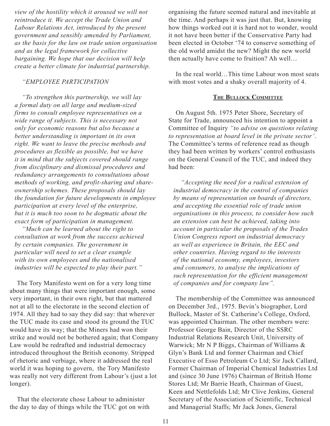*view of the hostility which it aroused we will not reintroduce it. We accept the Trade Union and Labour Relations Act, introduced by the present government and sensibly amended by Parliament, as the basis for the law on trade union organisation and as the legal framework for collective bargaining. We hope that our decision will help create a better climate for industrial partnership.*

### *"EMPLOYEE PARTICIPATION*

*"To strengthen this partnership, we will lay a formal duty on all large and medium-sized firms to consult employee representatives on a wide range of subjects. This is necessary not only for economic reasons but also because a better understanding is important in its own right. We want to leave the precise methods and procedures as flexible as possible, but we have it in mind that the subjects covered should range from disciplinary and dismissal procedures and redundancy arrangements to consultations about methods of working, and profit-sharing and shareownership schemes. These proposals should lay the foundation for future developments in employee participation at every level of the enterprise, but it is much too soon to be dogmatic about the exact form of participation in management.*

*"Much can be learned about the right to consultation at work from the success achieved by certain companies. The government in particular will need to set a clear example with its own employees and the nationalised industries will be expected to play their part."*

The Tory Manifesto went on for a very long time about many things that were important enough, some very important, in their own right, but that mattered not at all to the electorate in the second election of 1974. All they had to say they did say: that wherever the TUC made its case and stood its ground the TUC would have its way; that the Miners had won their strike and would not be bothered again; that Company Law would be redrafted and industrial democracy introduced throughout the British economy. Stripped of rhetoric and verbiage, where it addressed the real world it was hoping to govern, the Tory Manifesto was really not very different from Labour's (just a lot longer).

That the electorate chose Labour to administer the day to day of things while the TUC got on with organising the future seemed natural and inevitable at the time. And perhaps it was just that. But, knowing how things worked out it is hard not to wonder, would it not have been better if the Conservative Party had been elected in October '74 to conserve something of the old world amidst the new? Might the new world then actually have come to fruition? Ah well…

In the real world…This time Labour won most seats with most votes and a shaky overall majority of 4.

### **The Bullock Committee**

On August 5th. 1975 Peter Shore, Secretary of State for Trade, announced his intention to appoint a Committee of Inquiry *"to advise on questions relating to representation at board level in the private sector'*. The Committee's terms of reference read as though they had been written by workers' control enthusiasts on the General Council of the TUC, and indeed they had been:

*"Accepting the need for a radical extension of industrial democracy in the control of companies by means of representation on boards of directors, and accepting the essential role of trade union organisations in this process, to consider how such an extension can best be achieved, taking into account in particular the proposals of the Trades Union Congress report on industrial democracy as well as experience in Britain, the EEC and other countries. Having regard to the interests of the national economy, employees, investors and consumers, to analyse the implications of such representation for the efficient management of companies and for company law".*

The membership of the Committee was announced on December 3rd., 1975. Bevin's biographer, Lord Bullock, Master of St. Catherine's College, Oxford, was appointed Chairman. The other members were: Professor George Bain, Director of the SSRC Industrial Relations Research Unit, University of Warwick; Mr N P Biggs, Chairman of Williams & Glyn's Bank Ltd and former Chairman and Chief Executive of Esso Petroleum Co Ltd; Sir Jack Callard, Former Chairman of Imperial Chemical Industries Ltd and (since 30 June 1976) Chairman of British Home Stores Ltd; Mr Barrie Heath, Chairman of Guest, Keen and Nettlefolds Ltd; Mr Clive Jenkins, General Secretary of the Association of Scientific, Technical and Managerial Staffs; Mr Jack Jones, General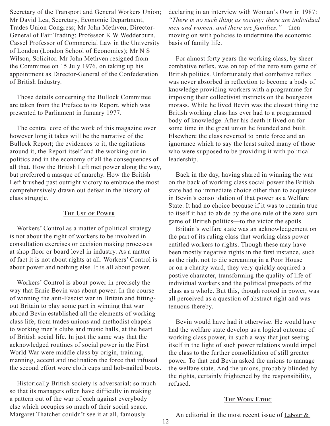Secretary of the Transport and General Workers Union; Mr David Lea, Secretary, Economic Department, Trades Union Congress; Mr John Methven, Director-General of Fair Trading; Professor K W Wedderburn, Cassel Professor of Commercial Law in the University of London (London School of Economics); Mr N S Wilson, Solicitor. Mr John Methven resigned from the Committee on 15 July 1976, on taking up his appointment as Director-General of the Confederation of British Industry.

Those details concerning the Bullock Committee are taken from the Preface to its Report, which was presented to Parliament in January 1977.

The central core of the work of this magazine over however long it takes will be the narrative of the Bullock Report; the evidences to it, the agitations around it, the Report itself and the working out in politics and in the economy of all the consequences of all that. How the British Left met power along the way, but preferred a masque of anarchy. How the British Left brushed past outright victory to embrace the most comprehensively drawn out defeat in the history of class struggle.

### **The Use of Power**

Workers' Control as a matter of political strategy is not about the right of workers to be involved in consultation exercises or decision making processes at shop floor or board level in industry. As a matter of fact it is not about rights at all. Workers' Control is about power and nothing else. It is all about power.

Workers' Control is about power in precisely the way that Ernie Bevin was about power. In the course of winning the anti-Fascist war in Britain and fittingout Britain to play some part in winning that war abroad Bevin established all the elements of working class life, from trades unions and methodist chapels to working men's clubs and music halls, at the heart of British social life. In just the same way that the acknowledged routines of social power in the First World War were middle class by origin, training, manning, accent and inclination the force that infused the second effort wore cloth caps and hob-nailed boots.

Historically British society is adversarial; so much so that its managers often have difficulty in making a pattern out of the war of each against everybody else which occupies so much of their social space. Margaret Thatcher couldn't see it at all, famously

declaring in an interview with Woman's Own in 1987: *"There is no such thing as society: there are individual men and women, and there are families."*—then moving on with policies to undermine the economic basis of family life.

For almost forty years the working class, by sheer combative reflex, was on top of the zero sum game of British politics. Unfortunately that combative reflex was never absorbed in reflection to become a body of knowledge providing workers with a programme for imposing their collectivist instincts on the bourgeois morass. While he lived Bevin was the closest thing the British working class has ever had to a programmed body of knowledge. After his death it lived on for some time in the great union he founded and built. Elsewhere the class reverted to brute force and an ignorance which to say the least suited many of those who were supposed to be providing it with political leadership.

Back in the day, having shared in winning the war on the back of working class social power the British state had no immediate choice other than to acquiesce in Bevin's consolidation of that power as a Welfare State. It had no choice because if it was to remain true to itself it had to abide by the one rule of the zero sum game of British politics—to the victor the spoils.

Britain's welfare state was an acknowledgement on the part of its ruling class that working class power entitled workers to rights. Though these may have been mostly negative rights in the first instance, such as the right not to die screaming in a Poor House or on a charity ward, they very quickly acquired a postive character, transforming the quality of life of individual workers and the political prospects of the class as a whole. But this, though rooted in power, was all perceived as a question of abstract right and was tenuous thereby.

Bevin would have had it otherwise. He would have had the welfare state develop as a logical outcome of working class power, in such a way that just seeing itself in the light of such power relations would impel the class to the further consolidation of still greater power. To that end Bevin asked the unions to manage the welfare state. And the unions, probably blinded by the rights, certainly frightened by the responsibility, refused.

### **The Work Ethic**

An editorial in the most recent issue of Labour &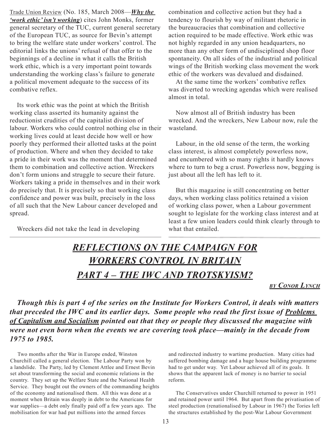<span id="page-12-0"></span>Trade Union Review (No. 185, March 2008—*Why the 'work ethic' isn't working*) cites John Monks, former general secretary of the TUC, current general secretary of the European TUC, as source for Bevin's attempt to bring the welfare state under workers' control. The editorial links the unions' refusal of that offer to the beginnings of a decline in what it calls the British work ethic, which is a very important point towards understanding the working class's failure to generate a political movement adequate to the success of its combative reflex.

Its work ethic was the point at which the British working class asserted its humanity against the reductionist crudities of the capitalist division of labour. Workers who could control nothing else in their working lives could at least decide how well or how poorly they performed their allotted tasks at the point of production. Where and when they decided to take a pride in their work was the moment that determined them to combination and collective action. Wreckers don't form unions and struggle to secure their future. Workers taking a pride in themselves and in their work do precisely that. It is precisely so that working class confidence and power was built, precisely in the loss of all such that the New Labour cancer developed and spread.

Wreckers did not take the lead in developing

combination and collective action but they had a tendency to flourish by way of militant rhetoric in the bureaucracies that combination and collective action required to be made effective. Work ethic was not highly regarded in any union headquarters, no more than any other form of undisciplined shop floor spontaneity. On all sides of the industrial and political wings of the British working class movement the work ethic of the workers was devalued and disdained.

At the same time the workers' combative reflex was diverted to wrecking agendas which were realised almost in total.

Now almost all of British industry has been wrecked. And the wreckers, New Labour now, rule the wasteland.

Labour, in the old sense of the term, the working class interest, is almost completely powerless now, and encumbered with so many rights it hardly knows where to turn to beg a crust. Powerless now, begging is just about all the left has left to it.

But this magazine is still concentrating on better days, when working class politics retained a vision of working class power, when a Labour government sought to legislate for the working class interest and at least a few union leaders could think clearly through to what that entailed.

# *Reflections on the Campaign for Workers Control in Britain Part 4 – The IWC and Trotskyism?*

*by Conor Lynch*

*Though this is part 4 of the series on the Institute for Workers Control, it deals with matters that preceded the IWC and its earlier days. Some people who read the first issue of Problems of Capitalism and Socialism pointed out that they or people they discussed the magazine with were not even born when the events we are covering took place—mainly in the decade from 1975 to 1985.*

Two months after the War in Europe ended, Winston Churchill called a general election. The Labour Party won by a landslide. The Party, led by Clement Attlee and Ernest Bevin set about transforming the social and economic relations in the country. They set up the Welfare State and the National Health Service. They bought out the owners of the commanding heights of the economy and nationalised them. All this was done at a moment when Britain was deeply in debt to the Americans for war supplies—a debt only finally paid off a few years ago. The mobilisation for war had put millions into the armed forces

and redirected industry to wartime production. Many cities had suffered bombing damage and a huge house building programme had to get under way. Yet Labour achieved all of its goals. It shows that the apparent lack of money is no barrier to social reform.

The Conservatives under Churchill returned to power in 1951 and retained power until 1964. But apart from the privatisation of steel production (renationalised by Labour in 1967) the Tories left the structures established by the post-War Labour Government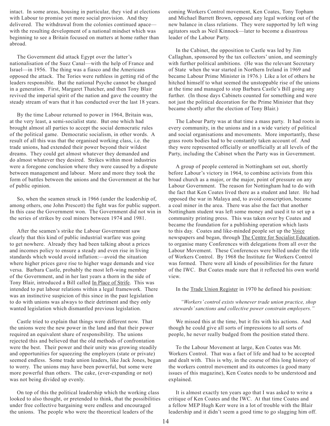intact. In some areas, housing in particular, they vied at elections with Labour to promise yet more social provision. And they delivered. The withdrawal from the colonies continued apace with the resulting development of a national mindset which was beginning to see a Britain focused on matters at home rather than abroad.

The Government did attack Egypt over the latter's nationalisation of the Suez Canal—with the help of France and Israel—in 1956. The thing was a fiasco and the Americans opposed the attack. The Tories were ruthless in getting rid of the leaders responsible. But the national Psyche cannot be changed in a generation. First, Margaret Thatcher, and then Tony Blair revived the imperial spirit of the nation and gave the country the steady stream of wars that it has conducted over the last 18 years.

By the time Labour returned to power in 1964, Britain was, at the very least, a semi-socialist state. But one which had brought almost all parties to accept the social democratic rules of the political game. Democratic socialism, in other words. A result of all this was that the organised working class, i.e. the trade unions, had extended their power beyond their wildest dreams. They could get almost whatever they demanded and do almost whatever they desired. Strikes within most industries were a foregone conclusion where they were caused by a dispute between management and labour. More and more they took the form of battles between the unions and the Government at the bar of public opinion.

So, when the seamen struck in 1966 (under the leadership of, among others, one John Prescott) the fight was for public support. In this case the Government won. The Government did not win in the series of strikes by coal miners between 1974 and 1981.

After the seamen's strike the Labour Government saw clearly that this kind of public industrial warfare was going to get nowhere. Already they had been talking about a prices and incomes policy to ensure a steady and even rise in living standards which would avoid inflation:—avoid the situation where higher prices gave rise to higher wage demands and vice versa. Barbara Castle, probably the most left-wing member of the Government, and in her last years a thorn in the side of Tony Blair, introduced a Bill called In Place of Strife. This was intended to put labour relations within a legal framework. There was an instinctive suspicion of this since in the past legislation to do with unions was always to their detriment and they only wanted legislation which dismantled previous legislation.

Castle tried to explain that things were different now. That the unions were the new power in the land and that their power required an equivalent share of responsibility. The unions rejected this and believed that the old methods of confrontation were the best. Their power and their unity was growing steadily and opportunities for squeezing the employers (state or private) seemed endless. Some trade union leaders, like Jack Jones, began to worry. The unions may have been powerful, but some were more powerful than others. The cake, (ever-expanding or not) was not being divided up evenly.

On top of this the political leadership which the working class looked to also thought, or pretended to think, that the possibilities under free collective bargaining were endless and encouraged the unions. The people who were the theoretical leaders of the

coming Workers Control movement, Ken Coates, Tony Topham and Michael Barrett Brown, opposed any legal working out of the new balance in class relations. They were supported by left wing agitators such as Neil Kinnock—later to become a disastrous leader of the Labour Party.

In the Cabinet, the opposition to Castle was led by Jim Callaghan, sponsored by the tax collectors' union, and seemingly with further political ambitions. (He was the relevant Secretary of State when the war started in Northern Ireland in 1969 and became Labour Prime Minister in 1976.) Like a lot of others he hitched himself to what seemed the unstoppable rise of the unions at the time and managed to stop Barbara Castle's Bill going any further. (In those days Cabinets counted for something and were not just the political decoration for the Prime Minister that they became shortly after the election of Tony Blair.)

The Labour Party was at that time a mass party. It had roots in every community, in the unions and in a wide variety of political and social organisations and movements. More importantly, these grass roots bodies had to be constantly taken account of. And they were represented officially or unofficially at all levels of the Party, including the Cabinet when the Party was in Government.

A group of people centered in Nottingham set out, shortly before Labour's victory in 1964, to combine activists from this broad church as a major, or the major, point of pressure on any Labour Government. The reason for Nottingham had to do with the fact that Ken Coates lived there as a student and later. He had opposed the war in Malaya and, to avoid conscription, became a coal miner in the area. There was also the fact that another Nottingham student was left some money and used it to set up a community printing press. This was taken over by Coates and became the foundation for a publishing operation which lasts to this day. Coates and like-minded people set up the Voice newspapers and began, through The Centre for Socialist Education, to organise many Conferences with delegations from all over the Labour Movement. These Conferences were billed under the title of Workers Control. By 1968 the Institute for Workers Control was formed. There were all kinds of possibilities for the future of the IWC. But Coates made sure that it reflected his own world view.

In the Trade Union Register in 1970 he defined his position:

*"Workers' control exists whenever trade union practice, shop stewards' sanctions and collective power constrain employers."* 

We missed this at the time, but it fits with his actions. And though he could give all sorts of impressions to all sorts of people, he never really budged from the position stated there.

To the Labour Movement at large, Ken Coates was Mr. Workers Control. That was a fact of life and had to be accepted and dealt with. This is why, in the course of this long history of the workers control movement and its outcomes (a good many issues of this magazine), Ken Coates needs to be understood and explained.

It is almost exactly ten years ago that I was asked to write a critique of Ken Coates and the IWC. At that time Coates and a fellow MEP Hugh Kerr were in a lot of trouble with the Blair leadership and it didn't seem a good time to go slagging him off.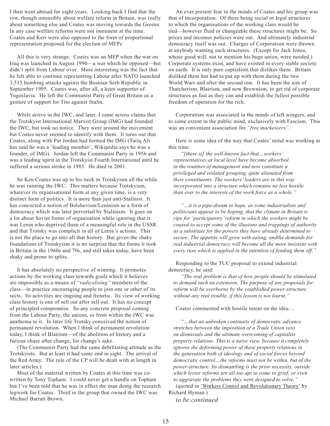I then went abroad for eight years. Looking back I find that the row, though ostensibly about welfare reform in Britain, was really about something else and Coates was moving towards the Greens. In any case welfare reforms were not imminent at the time. Coates and Kerr were also opposed to the form of proportional representation proposed for the election of MEPs

All this is very strange. Coates was an MEP when the war on Iraq was launched in August 1990—a war which he opposed—but didn't split from Labour over. More interesting was the fact that he felt able to continue representing Labour after NATO launched 3,515 bombing attacks against the Bosnian Serb Republic in September 1995. Coates was, after all, a keen supporter of Yugoslavia. He left the Communist Party of Great Britain as a gesture of support for Tito against Stalin.

While active in the IWC, and later, I came across claims that the Trotskyist International Marxist Group (IMG) had founded the IWC, but took no notice. They were around the movement but Coates never seemed to identify with them. It turns out that Coates, along with Pat Jordan had formed the IMG (Tariq Ali has said he was a 'leading member', Wikipedia says he was a founder, of IMG). Jordan left the Communist Party in 1956 and was a leading spirit in the Trotskyist Fourth International until he suffered a serious stroke in 1985. He died in 2001.

So Ken Coates was up to his neck in Trotskyism all the while he was running the IWC. This matters because Trotskyism, whatever its organisational form at any given time, is a very distinct form of politics. It is more than just anti-Stalinist. It has concocted a notion of Bolshevism/Leninism as a form of democracy which was later perverted by Stalinism. It goes on a lot about Soviet forms of organisation while ignoring that it was Lenin who deprived them of a meaningful role in the USSR and that Trotsky was complicit in all of Lenin's actions. This is not the place to go into all that history. But given the shaky foundations of Trotskyism it is no surprise that the forms it took in Britain in the 1960s and 70s, and still takes today, have been shaky and prone to splits.

It has absolutely no perspective of winning. It promotes actions by the working class towards goals which it believes are impossible as a means of *"radicalising"* members of the class—in practice encouraging people to join one or other of its sects. Its activities are ongoing and frenetic. Its view of working class history is one of sell out after sell out. It has no concept of principled compromise. So any concrete proposal coming from the Labour Party, the unions, or from within the IWC was anathema to it. In later life Trotsky conceived the notion of permanent revolution. When I think of permanent revolution today, I think of Blairism—of the abolition of history and a furious chase after change, for change's sake.

(The Communist Party had the same debilitating attitude as the Trotskyists. But at least it had some end in sight. The arrival of the Red Army. The role of the CP will be dealt with at length in later articles.)

Most of the material written by Coates at this time was cowritten by Tony Topham. I could never get a handle on Topham but I've been told that he was in effect the man doing the research legwork for Coates. Third in the group that owned the IWC was Michael Barratt Brown.

An ever present fear in the minds of Coates and his group was that of incorporation. Of there being social or legal structures to which the organisations of the working class would be tied—however fluid or changeable these structures might be. So prices and incomes policies were out. And ultimately industrial democracy itself was out. Charges of Corporatism were thrown at anybody wanting such structures. (Except for Jack Jones, whose good will, not to mention his huge union, were needed.) Corporate systems exist, and have existed in every stable society on earth. It is only pure capitalism that dislikes them. Britain disliked them but had to put up with them during the two World Wars and after the second one. It has been the aim of Thatcherism, Blairism, and now Brownism, to get rid of corporate structures as fast as they can and establish the fullest possible freedom of operation for the rich.

Corporatism was associated in the minds of left wingers, and to some extent in the public mind, exclusively with Fascism. This was an convenient association for *"free marketeers"*.

Here is some idea of the way that Coates' mind was working at this time:

*"[there is] the well-known fact that…workers' representatives at local level have become absorbed in the routines of management and now constitute a privileged and isolated grouping, quite alienated from their constituents. The workers' leaders are in this way incorporated into a structure which remains no less hostile than ever to the interests of the work force as a whole."*

*"…it is a pipe-dream to hope, as some industrialists and politicians appear to be hoping, that the climate in Britain is ripe for 'participatory' reform in which the workers might be coaxed to accept some of the illusions and trappings of authority as a substitute for the powers they have already determined to secure. The appetite will grow with eating, andthe demands for real industrial democracy will become all the more insistent with every ruse which is applied in the intention of fending them off."* 

Responding to the TUC proposal to extend industrial democracy, he said:

*"The real problem is that of how people should be stimulated to demand such an extension. The purpose of any proposals for reform will be overborne by the established power-structure, without any real trouble, if this lesson is not learnt."*

Coates commented with hostile intent on the idea…

*"…that an unbroken continuity of democratic advance stretches between the imposition of a Trade Union veto on dismissals and the ultimate overcoming of capitalist property relations. This is a naive view, because it completely ignores the deforming power of these property relations in the generation both of ideology and of social forces beyond democratic control…the reforms must not be within, but of the power-structure. Its dismantling is the prior necessity, outside which lesser reforms are all too apt to come to grief, or even to aggravate the problems they were designed to solve."*  (quoted in 'Workers Control and Revolutionary Theory' by Richard Hyman.)

*to be continued*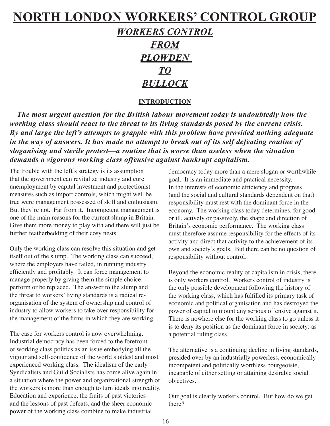# <span id="page-15-0"></span>**North London Workers' Control Group**

*WORKERS CONTROL From PLOWDEN To BULLOCK*

### **INTRODUCTION**

*The most urgent question for the British labour movement today is undoubtedly how the working class should react to the threat to its living standards posed by the current crisis. By and large the left's attempts to grapple with this problem have provided nothing adequate in the way of answers. It has made no attempt to break out of its self defeating routine of sloganising and sterile protest—a routine that is worse than useless when the situation demands a vigorous working class offensive against bankrupt capitalism.*

The trouble with the left's strategy is its assumption that the government can revitalize industry and cure unemployment by capital investment and protectionist measures such as import controls, which might well be true were management possessed of skill and enthusiasm. But they're not. Far from it. Incompetent management is one of the main reasons for the current slump in Britain. Give them more money to play with and there will just be further featherbedding of their cosy nests.

Only the working class can resolve this situation and get itself out of the slump. The working class can succeed, where the employers have failed, in running industry efficiently and profitably. It can force management to manage properly by giving them the simple choice: perform or be replaced. The answer to the slump and the threat to workers' living standards is a radical reorganisation of the system of ownership and control of industry to allow workers to take over responsibility for the management of the firms in which they are working.

The case for workers control is now overwhelming. Industrial democracy has been forced to the forefront of working class politics as an issue embodying all the vigour and self-confidence of the world's oldest and most experienced working class. The idealism of the early Syndicalists and Guild Socialists has come alive again in a situation where the power and organizational strength of the workers is more than enough to turn ideals into reality. Education and experience, the fruits of past victories and the lessons of past defeats, and the sheer economic power of the working class combine to make industrial

democracy today more than a mere slogan or worthwhile goal. It is an immediate and practical necessity. In the interests of economic efficiency and progress (and the social and cultural standards dependent on that) responsibility must rest with the dominant force in the economy. The working class today determines, for good or ill, actively or passively, the shape and direction of Britain's economic performance. The working class must therefore assume responsibility for the effects of its activity and direct that activity to the achievement of its own and society's goals. But there can be no question of responsibility without control.

Beyond the economic reality of capitalism in crisis, there is only workers control. Workers control of industry is the only possible development following the history of the working class, which has fulfilled its primary task of economic and political organisation and has destroyed the power of capital to mount any serious offensive against it. There is nowhere else for the working class to go unless it is to deny its position as the dominant force in society: as a potential ruling class.

The alternative is a continuing decline in living standards, presided over by an industrially powerless, economically incompetent and politically worthless bourgeoisie, incapable of either setting or attaining desirable social objectives.

Our goal is clearly workers control. But how do we get there?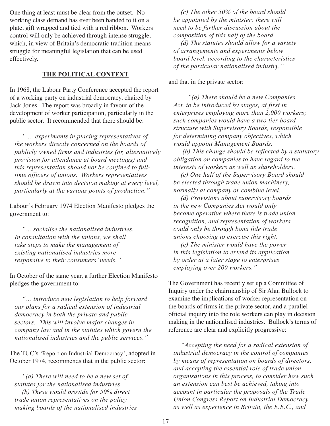One thing at least must be clear from the outset. No working class demand has ever been handed to it on a plate, gift wrapped and tied with a red ribbon. Workers control will only be achieved through intense struggle, which, in view of Britain's democratic tradition means struggle for meaningful legislation that can be used effectively.

### **THE POLITICAL CONTEXT**

In 1968, the Labour Party Conference accepted the report of a working party on industrial democracy, chaired by Jack Jones. The report was broadly in favour of the development of worker participation, particularly in the public sector. It recommended that there should be:

*"… experiments in placing representatives of the workers directly concerned on the boards of publicly owned firms and industries (or, alternatively provision for attendance at board meetings) and this representation should not be confined to fulltime officers of unions. Workers representatives should be drawn into decision making at every level, particularly at the various points of production."*

Labour's February 1974 Election Manifesto pledges the government to:

*"… socialise the nationalised industries. In consultation with the unions, we shall take steps to make the management of existing nationalised industries more responsive to their consumers' needs."*

In October of the same year, a further Election Manifesto pledges the government to:

*"… introduce new legislation to help forward our plans for a radical extension of industrial democracy in both the private and public sectors. This will involve major changes in company law and in the statutes which govern the nationalised industries and the public services."*

The TUC's 'Report on Industrial Democracy', adopted in October 1974, recommends that in the public sector:

*"(a) There will need to be a new set of statutes for the nationalised industries (b) These would provide for 50% direct trade union representatives on the policy making boards of the nationalised industries*

*(c) The other 50% of the board should be appointed by the minister: there will need to be further discussion about the composition of this half of the board*

*(d) The statutes should allow for a variety of arrangements and experiments below board level, according to the characteristics of the particular nationalised industry."* 

and that in the private sector:

*"(a) There should be a new Companies Act, to be introduced by stages, at first in enterprises employing more than 2,000 workers; such companies would have a two tier board structure with Supervisory Boards, responsible for determining company objectives, which would appoint Management Boards.*

 *(b) This change should be reflected by a statutory obligation on companies to have regard to the interests of workers as well as shareholders.*

*(c) One half of the Supervisory Board should be elected through trade union machinery, normally at company or combine level.*

*(d) Provisions about supervisory boards in the new Companies Act would only become operative where there is trade union recognition, and representation of workers could only be through bona fide trade unions choosing to exercise this right.*

*(e) The minister would have the power in this legislation to extend its application by order at a later stage to enterprises employing over 200 workers."*

The Government has recently set up a Committee of Inquiry under the chairmanship of Sir Alan Bullock to examine the implications of worker representation on the boards of firms in the private sector, and a parallel official inquiry into the role workers can play in decision making in the nationalised industries. Bullock's terms of reference are clear and explicitly progressive:

*"Accepting the need for a radical extension of industrial democracy in the control of companies by means of representation on boards of directors, and accepting the essential role of trade union organisations in this process, to consider how such an extension can best be achieved, taking into account in particular the proposals of the Trade Union Congress Report on Industrial Democracy as well as experience in Britain, the E.E.C., and*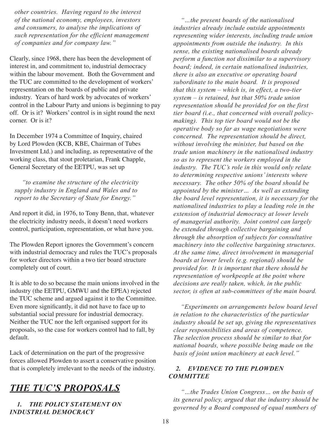*other countries. Having regard to the interest of the national economy, employees, investors and consumers, to analyse the implications of such representation for the efficient management of companies and for company law."* 

Clearly, since 1968, there has been the development of interest in, and commitment to, industrial democracy within the labour movement. Both the Government and the TUC are committed to the development of workers' representation on the boards of public and private industry. Years of hard work by advocates of workers' control in the Labour Party and unions is beginning to pay off. Or is it? Workers' control is in sight round the next corner. Or is it?

In December 1974 a Committee of Inquiry, chaired by Lord Plowden (KCB, KBE, Chairman of Tubes Investment Ltd.) and including, as representative of the working class, that stout proletarian, Frank Chapple, General Secretary of the EETPU, was set up

*"to examine the structure of the electricity supply industry in England and Wales and to report to the Secretary of State for Energy."*

And report it did, in 1976, to Tony Benn, that, whatever the electricity industry needs, it doesn't need workers control, participation, representation, or what have you.

The Plowden Report ignores the Government's concern with industrial democracy and rules the TUC's proposals for worker directors within a two tier board structure completely out of court.

It is able to do so because the main unions involved in the industry (the EETPU, GMWU and the EPEA) rejected the TUC scheme and argued against it to the Committee. Even more significantly, it did not have to face up to substantial social pressure for industrial democracy. Neither the TUC nor the left organised support for its proposals, so the case for workers control had to fall, by default.

Lack of determination on the part of the progressive forces allowed Plowden to assert a conservative position that is completely irrelevant to the needs of the industry.

# *THE TUC'S PROPOSALS*

*1. THE POLICY STATEMENT ON INDUSTRIAL DEMOCRACY*

*"…the present boards of the nationalised industries already include outside appointments representing wider interests, including trade union appointments from outside the industry. In this sense, the existing nationalised boards already perform a function not dissimilar to a supervisory board; indeed, in certain nationalised industries, there is also an executive or operating board subordinate to the main board. It is proposed that this system – which is, in effect, a two-tier system – is retained, but that 50% trade union representation should be provided for on the first tier board (i.e., that concerned with overall policymaking). This top tier board would not be the operative body so far as wage negotiations were concerned. The representation should be direct, without involving the minister, but based on the trade union machinery in the nationalised industry so as to represent the workers employed in the industry. The TUC's role in this would only relate to determining respective unions' interests where necessary. The other 50% of the board should be appointed by the minister… As well as extending the board level representation, it is necessary for the nationalised industries to play a leading role in the extension of industrial democracy at lower levels of managerial authority. Joint control can largely be extended through collective bargaining and through the absorption of subjects for consultative machinery into the collective bargaining structures. At the same time, direct involvement in managerial boards at lower levels (e.g. regional) should be provided for. It is important that there should be representation of workpeople at the point where decisions are really taken, which, in the public sector, is often at sub-committees of the main board.*

*"Experiments on arrangements below board level in relation to the characteristics of the particular industry should be set up, giving the representatives clear responsibilities and areas of competence. The selection process should be similar to that for national boards, where possible being made on the basis of joint union machinery at each level."*

### *2. EVIDENCE TO THE PLOWDEN COMMITTEE*

*"…the Trades Union Congress… on the basis of its general policy, argued that the industry should be governed by a Board composed of equal numbers of*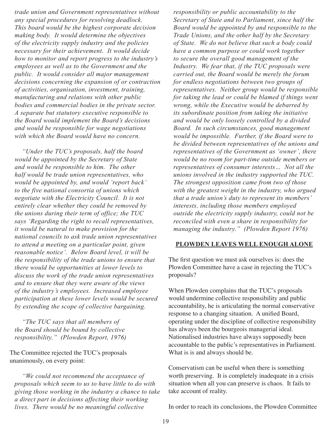*trade union and Government representatives without any special procedures for resolving deadlock. This board would be the highest corporate decision making body. It would determine the objectives of the electricity supply industry and the policies necessary for their achievement. It would decide how to monitor and report progress to the industry's employees as well as to the Government and the public. It would consider all major management decisions concerning the expansion of or contraction of activities, organisation, investment, training, manufacturing and relations with other public bodies and commercial bodies in the private sector. A separate but statutory executive responsible to the Board would implement the Board's decisions and would be responsible for wage negotiations with which the Board would have no concern.*

*"Under the TUC's proposals, half the board would be appointed by the Secretary of State and would be responsible to him. The other half would be trade union representatives, who would be appointed by, and would 'report back' to the five national consortia of unions which negotiate with the Electricity Council. It is not entirely clear whether they could be removed by the unions during their term of office; the TUC says 'Regarding the right to recall representatives, it would be natural to make provision for the national councils to ask trade union representatives to attend a meeting on a particular point, given reasonable notice'. Below Board level, it will be the responsibility of the trade unions to ensure that there would be opportunities at lower levels to discuss the work of the trade union representatives and to ensure that they were aware of the views of the industry's employees. Increased employee participation at these lower levels would be secured by extending the scope of collective bargaining.*

*"The TUC says that all members of the Board should be bound by collective responsibility." (Plowden Report, 1976)*

The Committee rejected the TUC's proposals unanimously, on every point:

*"We could not recommend the acceptance of proposals which seem to us to have little to do with giving those working in the industry a chance to take a direct part in decisions affecting their working lives. There would be no meaningful collective* 

*responsibility or public accountability to the Secretary of State and to Parliament, since half the Board would be appointed by and responsible to the Trade Unions, and the other half by the Secretary of State. We do not believe that such a body could have a common purpose or could work together to secure the overall good management of the Industry. We fear that, if the TUC proposals were carried out, the Board would be merely the forum for endless negotiations between two groups of representatives. Neither group would be responsible for taking the lead or could be blamed if things went wrong, while the Executive would be debarred by its subordinate position from taking the initiative and would be only loosely controlled by a divided Board. In such circumstances, good management would be impossible. Further, if the Board were to be divided between representatives of the unions and representatives of the Government as 'owner', there would be no room for part-time outside members or representatives of consumer interests… Not all the unions involved in the industry supported the TUC. The strongest opposition came from two of those with the greatest weight in the industry, who argued that a trade union's duty to represent its members' interests, including those members employed outside the electricity supply industry, could not be reconciled with even a share in responsibility for managing the industry." (Plowden Report 1976)* 

### **PLOWDEN LEAVES WELL ENOUGH ALONE**

The first question we must ask ourselves is: does the Plowden Committee have a case in rejecting the TUC's proposals?

When Plowden complains that the TUC's proposals would undermine collective responsibility and public accountability, he is articulating the normal conservative response to a changing situation. A unified Board, operating under the discipline of collective responsibility has always been the bourgeois managerial ideal. Nationalised industries have always supposedly been accountable to the public's representatives in Parliament. What is is and always should be.

Conservatism can be useful when there is something worth preserving. It is completely inadequate in a crisis situation when all you can preserve is chaos. It fails to take account of reality.

In order to reach its conclusions, the Plowden Committee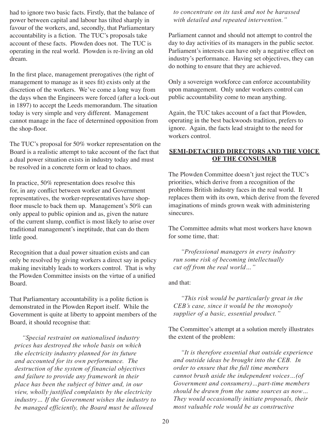had to ignore two basic facts. Firstly, that the balance of power between capital and labour has tilted sharply in favour of the workers, and, secondly, that Parliamentary accountability is a fiction. The TUC's proposals take account of these facts. Plowden does not. The TUC is operating in the real world. Plowden is re-living an old dream.

In the first place, management prerogatives (the right of management to manage as it sees fit) exists only at the discretion of the workers. We've come a long way from the days when the Engineers were forced (after a lock-out in 1897) to accept the Leeds memorandum. The situation today is very simple and very different. Management cannot manage in the face of determined opposition from the shop-floor.

The TUC's proposal for 50% worker representation on the Board is a realistic attempt to take account of the fact that a dual power situation exists in industry today and must be resolved in a concrete form or lead to chaos.

In practice, 50% representation does resolve this for, in any conflict between worker and Government representatives, the worker-representatives have shopfloor muscle to back them up. Management's 50% can only appeal to public opinion and as, given the nature of the current slump, conflict is most likely to arise over traditional management's ineptitude, that can do them little good.

Recognition that a dual power situation exists and can only be resolved by giving workers a direct say in policy making inevitably leads to workers control. That is why the Plowden Committee insists on the virtue of a unified Board.

That Parliamentary accountability is a polite fiction is demonstrated in the Plowden Report itself. While the Government is quite at liberty to appoint members of the Board, it should recognise that:

*"Special restraint on nationalised industry prices has destroyed the whole basis on which the electricity industry planned for its future and accounted for its own performance. The destruction of the system of financial objectives and failure to provide any framework in their place has been the subject of bitter and, in our view, wholly justified complaints by the electricity industry… If the Government wishes the industry to be managed efficiently, the Board must be allowed* 

*to concentrate on its task and not be harassed with detailed and repeated intervention."* 

Parliament cannot and should not attempt to control the day to day activities of its managers in the public sector. Parliament's interests can have only a negative effect on industry's performance. Having set objectives, they can do nothing to ensure that they are achieved.

Only a sovereign workforce can enforce accountability upon management. Only under workers control can public accountability come to mean anything.

Again, the TUC takes account of a fact that Plowden, operating in the best backwoods tradition, prefers to ignore. Again, the facts lead straight to the need for workers control.

### **SEMI-DETACHED DIRECTORS AND THE VOICE OF THE CONSUMER**

The Plowden Committee doesn't just reject the TUC's priorities, which derive from a recognition of the problems British industry faces in the real world. It replaces them with its own, which derive from the fevered imaginations of minds grown weak with administering sinecures.

The Committee admits what most workers have known for some time, that:

*"Professional managers in every industry run some risk of becoming intellectually cut off from the real world…"*

and that:

*"This risk would be particularly great in the CEB's case, since it would be the monopoly supplier of a basic, essential product."*

The Committee's attempt at a solution merely illustrates the extent of the problem:

*"It is therefore essential that outside experience and outside ideas be brought into the CEB. In order to ensure that the full time members cannot brush aside the independent voices…(of Government and consumers)…part-time members should be drawn from the same sources as now… They would occasionally initiate proposals, their most valuable role would be as constructive*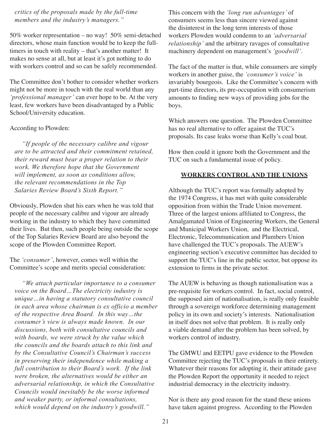*critics of the proposals made by the full-time members and the industry's managers."*

50% worker representation – no way! 50% semi-detached directors, whose main function would be to keep the fulltimers in touch with reality – that's another matter! It makes no sense at all, but at least it's got nothing to do with workers control and so can be safely recommended.

The Committee don't bother to consider whether workers might not be more in touch with the real world than any *'professional manager'* can ever hope to be. At the very least, few workers have been disadvantaged by a Public School/University education.

### According to Plowden:

*"If people of the necessary calibre and vigour are to be attracted and their commitment retained, their reward must bear a proper relation to their work. We therefore hope that the Government will implement, as soon as conditions allow, the relevant recommendations in the Top Salaries Review Board's Sixth Report."*

Obviously, Plowden shut his ears when he was told that people of the necessary calibre and vigour are already working in the industry to which they have committed their lives. But then, such people being outside the scope of the Top Salaries Review Board are also beyond the scope of the Plowden Committee Report.

The *'consumer'*, however, comes well within the Committee's scope and merits special consideration:

*"We attach particular importance to a consumer voice on the Board…The electricity industry is unique…in having a statutory consultative council in each area whose chairman is ex officio a member of the respective Area Board. In this way…the consumer's view is always made known. In our discussions, both with consultative councils and with boards, we were struck by the value which the councils and the boards attach to this link and by the Consultative Council's Chairman's success in preserving their independence while making a full contribution to their Board's work. If the link were broken, the alternatives would be either an adversarial relationship, in which the Consultative Councils would inevitably be the worse informed and weaker party, or informal consultations, which would depend on the industry's goodwill."*

This concern with the *'long run advantages'* of consumers seems less than sincere viewed against the disinterest in the long term interests of those workers Plowden would condemn to an *'adversarial relationship'* and the arbitrary ravages of consultative machinery dependent on management's *'goodwill'*.

The fact of the matter is that, while consumers are simply workers in another guise, the *'consumer's voice'* is invariably bourgeois. Like the Committee's concern with part-time directors, its pre-occupation with consumerism amounts to finding new ways of providing jobs for the boys.

Which answers one question. The Plowden Committee has no real alternative to offer against the TUC's proposals. Its case leaks worse than Kelly's coal boat.

How then could it ignore both the Government and the TUC on such a fundamental issue of policy.

### **WORKERS CONTROL AND THE UNIONS**

Although the TUC's report was formally adopted by the 1974 Congress, it has met with quite considerable opposition from within the Trade Union movement. Three of the largest unions affiliated to Congress, the Amalgamated Union of Engineering Workers, the General and Municipal Workers Union, and the Electrical, Electronic, Telecommunication and Plumbers Union have challenged the TUC's proposals. The AUEW's engineering section's executive committee has decided to support the TUC's line in the public sector, but oppose its extension to firms in the private sector.

The AUEW is behaving as though nationalisation was a pre-requisite for workers control. In fact, social control, the supposed aim of nationalisation, is really only feasible through a sovereign workforce determining management policy in its own and society's interests. Nationalisation in itself does not solve that problem. It is really only a viable demand after the problem has been solved, by workers control of industry.

The GMWU and EETPU gave evidence to the Plowden Committee rejecting the TUC's proposals in their entirety. Whatever their reasons for adopting it, their attitude gave the Plowden Report the opportunity it needed to reject industrial democracy in the electricity industry.

Nor is there any good reason for the stand these unions have taken against progress. According to the Plowden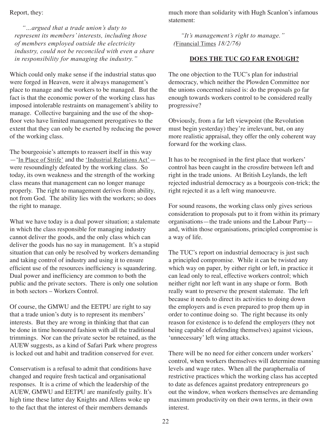### Report, they:

*"…argued that a trade union's duty to represent its members' interests, including those of members employed outside the electricity industry, could not be reconciled with even a share in responsibility for managing the industry."*

Which could only make sense if the industrial status quo were forged in Heaven, were it always management's place to manage and the workers to be managed. But the fact is that the economic power of the working class has imposed intolerable restraints on management's ability to manage. Collective bargaining and the use of the shopfloor veto have limited management prerogatives to the extent that they can only be exerted by reducing the power of the working class.

The bourgeoisie's attempts to reassert itself in this way —'In Place of Strife' and the 'Industrial Relations Act' were resoundingly defeated by the working class. So today, its own weakness and the strength of the working class means that management can no longer manage properly. The right to management derives from ability, not from God. The ability lies with the workers; so does the right to manage.

What we have today is a dual power situation; a stalemate in which the class responsible for managing industry cannot deliver the goods, and the only class which can deliver the goods has no say in management. It's a stupid situation that can only be resolved by workers demanding and taking control of industry and using it to ensure efficient use of the resources inefficiency is squandering. Dual power and inefficiency are common to both the public and the private sectors. There is only one solution in both sectors – Workers Control.

Of course, the GMWU and the EETPU are right to say that a trade union's duty is to represent its members' interests. But they are wrong in thinking that that can be done in time honoured fashion with all the traditional trimmings. Nor can the private sector be retained, as the AUEW suggests, as a kind of Safari Park where progress is locked out and habit and tradition conserved for ever.

Conservatism is a refusal to admit that conditions have changed and require fresh tactical and organisational responses. It is a crime of which the leadership of the AUEW, GMWU and EETPU are manifestly guilty. It's high time these latter day Knights and Allens woke up to the fact that the interest of their members demands

much more than solidarity with Hugh Scanlon's infamous statement:

*"It's management's right to manage." (*Financial Times *18/2/76)*

### **DOES THE TUC GO FAR ENOUGH?**

The one objection to the TUC's plan for industrial democracy, which neither the Plowden Committee nor the unions concerned raised is: do the proposals go far enough towards workers control to be considered really progressive?

Obviously, from a far left viewpoint (the Revolution must begin yesterday) they're irrelevant, but, on any more realistic appraisal, they offer the only coherent way forward for the working class.

It has to be recognised in the first place that workers' control has been caught in the crossfire between left and right in the trade unions. At British Leylands, the left rejected industrial democracy as a bourgeois con-trick; the right rejected it as a left wing manoeuvre.

For sound reasons, the working class only gives serious consideration to proposals put to it from within its primary organisations—the trade unions and the Labour Party and, within those organisations, principled compromise is a way of life.

The TUC's report on industrial democracy is just such a principled compromise. While it can be twisted any which way on paper, by either right or left, in practice it can lead only to real, effective workers control; which neither right nor left want in any shape or form. Both really want to preserve the present stalemate. The left because it needs to direct its activities to doing down the employers and is even prepared to prop them up in order to continue doing so. The right because its only reason for existence is to defend the employers (they not being capable of defending themselves) against vicious, 'unnecessary' left wing attacks.

There will be no need for either concern under workers' control, when workers themselves will determine manning levels and wage rates. When all the paraphernalia of restrictive practices which the working class has accepted to date as defences against predatory entrepreneurs go out the window, when workers themselves are demanding maximum productivity on their own terms, in their own interest.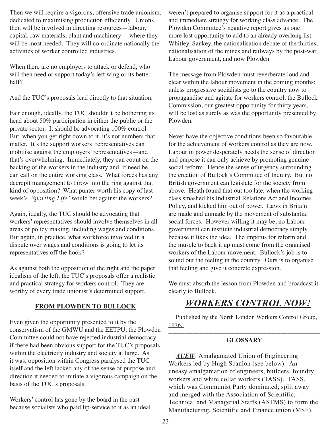Then we will require a vigorous, offensive trade unionism, dedicated to maximising production efficiently. Unions then will be involved in directing resources—labour, capital, raw materials, plant and machinery —where they will be most needed. They will co-ordinate nationally the activities of worker controlled industries.

When there are no employers to attack or defend, who will then need or support today's left wing or its better half?

And the TUC's proposals lead directly to that situation.

Fair enough, ideally, the TUC shouldn't be bothering its head about 50% participation in either the public or the private sector. It should be advocating 100% control. But, when you get right down to it, it's not numbers that matter. It's the support workers' representatives can mobilise against the employers' representatives—and that's overwhelming. Immediately, they can count on the backing of the workers in the industry and, if need be, can call on the entire working class. What forces has any decrepit management to throw into the ring against that kind of opposition? What punter worth his copy of last week's *'Sporting Life'* would bet against the workers?

Again, ideally, the TUC should be advocating that workers' representatives should involve themselves in all areas of policy making, including wages and conditions. But again, in practice, what workforce involved in a dispute over wages and conditions is going to let its representatives off the hook?

As against both the opposition of the right and the paper idealism of the left, the TUC's proposals offer a realistic and practical strategy for workers control. They are worthy of every trade unionist's determined support.

### **FROM PLOWDEN TO BULLOCK**

Even given the opportunity presented to it by the conservatism of the GMWU and the EETPU, the Plowden Committee could not have rejected industrial democracy if there had been obvious support for the TUC's proposals within the electricity industry and society at large. As it was, opposition within Congress paralysed the TUC itself and the left lacked any of the sense of purpose and direction it needed to initiate a vigorous campaign on the basis of the TUC's proposals.

Workers' control has gone by the board in the past because socialists who paid lip-service to it as an ideal weren't prepared to organise support for it as a practical and immediate strategy for working class advance. The Plowden Committee's negative report gives us one more lost opportunity to add to an already overlong list. Whitley, Sankey, the nationalisation debate of the thirties, nationalisation of the mines and railways by the post-war Labour government, and now Plowden.

The message from Plowden must reverberate loud and clear within the labour movement in the coming months: unless progressive socialists go to the country now to propagandise and agitate for workers control, the Bullock Commission, our greatest opportunity for thirty years, will be lost as surely as was the opportunity presented by Plowden.

Never have the objective conditions been so favourable for the achievement of workers control as they are now. Labour in power desperately needs the sense of direction and purpose it can only achieve by promoting genuine social reform. Hence the sense of urgency surrounding the creation of Bullock's Committee of Inquiry. But no British government can legislate for the society from above. Heath found that out too late, when the working class smashed his Industrial Relations Act and Incomes Policy, and kicked him out of power. Laws in Britain are made and unmade by the movement of substantial social forces. However willing it may be, no Labour government can institute industrial democracy simply because it likes the idea. The impetus for reform and the muscle to back it up must come from the organised workers of the Labour movement. Bullock's job is to sound out the feeling in the country. Ours is to organise that feeling and give it concrete expression.

We must absorb the lesson from Plowden and broadcast it clearly to Bullock.

## *WORKERS CONTROL NOW!*

Published by the North London Workers Control Group, 1976.

### **GLOSSARY**

*AUEW*: Amalgamated Union of Engineering Workers led by Hugh Scanlon (see below). An uneasy amalgamation of engineers, builders, foundry workers and white collar workers (TASS). TASS, which was Communist Party dominated, split away and merged with the Association of Scientific, Technical and Managerial Staffs (ASTMS) to form the Manufacturing, Scientific and Finance union (MSF).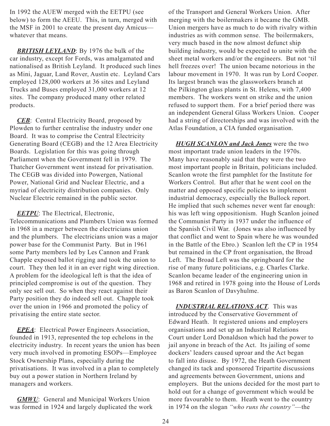In 1992 the AUEW merged with the EETPU (see below) to form the AEEU. This, in turn, merged with the MSF in 2001 to create the present day Amicus whatever that means.

*BRITISH LEYLAND*: By 1976 the bulk of the car industry, except for Fords, was amalgamated and nationalised as British Leyland. It produced such lines as Mini, Jaguar, Land Rover, Austin etc. Leyland Cars employed 128,000 workers at 36 sites and Leyland Trucks and Buses employed 31,000 workers at 12 sites. The company produced many other related products.

**CEB**: Central Electricity Board, proposed by Plowden to further centralise the industry under one Board. It was to comprise the Central Electricity Generating Board (CEGB) and the 12 Area Electricity Boards. Legislation for this was going through Parliament when the Government fell in 1979. The Thatcher Government went instead for privatisation. The CEGB was divided into Powergen, National Power, National Grid and Nuclear Electric, and a myriad of electricity distribution companies. Only Nuclear Electric remained in the public sector.

*EETPU:* The Electrical, Electronic, Telecommunications and Plumbers Union was formed in 1968 in a merger between the electricians union and the plumbers. The electricians union was a major power base for the Communist Party. But in 1961 some Party members led by Les Cannon and Frank Chapple exposed ballot rigging and took the union to court. They then led it in an ever right wing direction. A problem for the ideological left is that the idea of principled compromise is out of the question. They only see sell out. So when they react against their Party position they do indeed sell out. Chapple took over the union in 1966 and promoted the policy of privatising the entire state sector.

*EPEA*: Electrical Power Engineers Association, founded in 1913, represented the top echelons in the electricity industry. In recent years the union has been very much involved in promoting ESOPs—Employee Stock Ownership Plans, especially during the privatisations. It was involved in a plan to completely buy out a power station in Northern Ireland by managers and workers.

*GMWU*: General and Municipal Workers Union was formed in 1924 and largely duplicated the work of the Transport and General Workers Union. After merging with the boilermakers it became the GMB. Union mergers have as much to do with rivalry within industries as with common sense. The boilermakers, very much based in the now almost defunct ship building industry, would be expected to unite with the sheet metal workers and/or the engineers. But not 'til hell freezes over! The union became notorious in the labour movement in 1970. It was run by Lord Cooper. Its largest branch was the glassworkers branch at the Pilkington glass plants in St. Helens, with 7,400 members. The workers went on strike and the union refused to support them. For a brief period there was an independent General Glass Workers Union. Cooper had a string of directorships and was involved with the Atlas Foundation, a CIA funded organisation.

*HUGH SCANLON and Jack Jones* were the two most important trade union leaders in the 1970s. Many have reasonably said that they were the two most important people in Britain, politicians included. Scanlon wrote the first pamphlet for the Institute for Workers Control. But after that he went cool on the matter and opposed specific policies to implement industrial democracy, especially the Bullock report. He implied that such schemes never went far enough: his was left wing oppositionism. Hugh Scanlon joined the Communist Party in 1937 under the influence of the Spanish Civil War. (Jones was also influenced by that conflict and went to Spain where he was wounded in the Battle of the Ebro.) Scanlon left the CP in 1954 but remained in the CP front organisation, the Broad Left. The Broad Left was the springboard for the rise of many future politicians, e.g. Charles Clarke. Scanlon became leader of the engineering union in 1968 and retired in 1978 going into the House of Lords as Baron Scanlon of Davyhulme.

*INDUSTRIAL RELATIONS ACT*. This was introduced by the Conservative Government of Edward Heath. It registered unions and employers organisations and set up an Industrial Relations Court under Lord Donaldson which had the power to jail anyone in breach of the Act. Its jailing of some dockers' leaders caused uproar and the Act began to fall into disuse. By 1972, the Heath Government changed its tack and sponsored Tripartite discussions and agreements between Government, unions and employers. But the unions decided for the most part to hold out for a change of government which would be more favourable to them. Heath went to the country in 1974 on the slogan *"who runs the country"*—the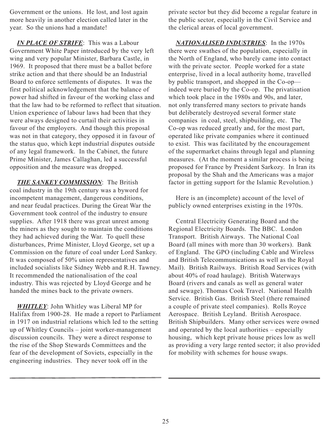Government or the unions. He lost, and lost again more heavily in another election called later in the year. So the unions had a mandate!

*IN PLACE OF STRIFE*: This was a Labour Government White Paper introduced by the very left wing and very popular Minister, Barbara Castle, in 1969. It proposed that there must be a ballot before strike action and that there should be an Industrial Board to enforce settlements of disputes. It was the first political acknowledgement that the balance of power had shifted in favour of the working class and that the law had to be reformed to reflect that situation. Union experience of labour laws had been that they were always designed to curtail their activities in favour of the employers. And though this proposal was not in that category, they opposed it in favour of the status quo, which kept industrial disputes outside of any legal framework. In the Cabinet, the future Prime Minister, James Callaghan, led a successful opposition and the measure was dropped.

*THE SANKEY COMMISSION*: The British coal industry in the 19th century was a byword for incompetent management, dangerous conditions, and near feudal practices. During the Great War the Government took control of the industry to ensure supplies. After 1918 there was great unrest among the miners as they sought to maintain the conditions they had achieved during the War. To quell these disturbances, Prime Minister, Lloyd George, set up a Commission on the future of coal under Lord Sankey. It was composed of 50% union representatives and included socialists like Sidney Webb and R.H. Tawney. It recommended the nationalisation of the coal industry. This was rejected by Lloyd George and he handed the mines back to the private owners.

*WHITLEY*: John Whitley was Liberal MP for Halifax from 1900-28. He made a report to Parliament in 1917 on industrial relations which led to the setting up of Whitley Councils – joint worker-management discussion councils. They were a direct response to the rise of the Shop Stewards Committees and the fear of the development of Soviets, especially in the engineering industries. They never took off in the

private sector but they did become a regular feature in the public sector, especially in the Civil Service and the clerical areas of local government.

*NATIONALISED INDUSTRIES*: In the 1970s there were swathes of the population, especially in the North of England, who barely came into contact with the private sector. People worked for a state enterprise, lived in a local authority home, travelled by public transport, and shopped in the Co-op indeed were buried by the Co-op. The privatisation which took place in the 1980s and 90s, and later, not only transferred many sectors to private hands but deliberately destroyed several former state companies in coal, steel, shipbuilding, etc. The Co-op was reduced greatly and, for the most part, operated like private companies where it continued to exist. This was facilitated by the encouragement of the supermarket chains through legal and planning measures. (At the moment a similar process is being proposed for France by President Sarkozy. In Iran its proposal by the Shah and the Americans was a major factor in getting support for the Islamic Revolution.)

Here is an (incomplete) account of the level of publicly owned enterprises existing in the 1970s.

Central Electricity Generating Board and the Regional Electricity Boards. The BBC. London Transport. British Airways. The National Coal Board (all mines with more than 30 workers). Bank of England. The GPO (including Cable and Wireless and British Telecommunications as well as the Royal Mail). British Railways. British Road Services (with about 40% of road haulage). British Waterways Board (rivers and canals as well as general water and sewage). Thomas Cook Travel. National Health Service. British Gas. British Steel (there remained a couple of private steel companies). Rolls Royce Aerospace. British Leyland. British Aerospace. British Shipbuilders. Many other services were owned and operated by the local authorities – especially housing, which kept private house prices low as well as providing a very large rented sector; it also provided for mobility with schemes for house swaps.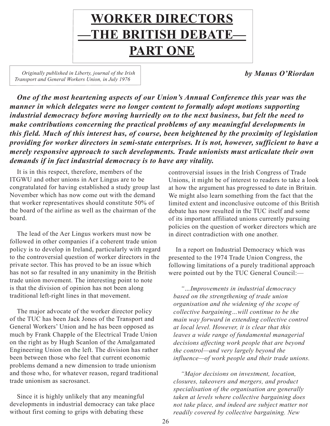# **Worker Directors —The British Debate— Part One**

<span id="page-25-0"></span>*Originally published in Liberty, journal of the Irish Transport and General Workers Union, in July 1976*

*by Manus O'Riordan*

*One of the most heartening aspects of our Union's Annual Conference this year was the manner in which delegates were no longer content to formally adopt motions supporting industrial democracy before moving hurriedly on to the next business, but felt the need to make contributions concerning the practical problems of any meaningful developments in this field. Much of this interest has, of course, been heightened by the proximity of legislation providing for worker directors in semi-state enterprises. It is not, however, sufficient to have a merely responsive approach to such developments. Trade unionists must articulate their own demands if in fact industrial democracy is to have any vitality.*

It is in this respect, therefore, members of the ITGWU and other unions in Aer Lingus are to be congratulated for having established a study group last November which has now come out with the demand that worker representatives should constitute 50% of the board of the airline as well as the chairman of the board.

The lead of the Aer Lingus workers must now be followed in other companies if a coherent trade union policy is to develop in Ireland, particularly with regard to the controversial question of worker directors in the private sector. This has proved to be an issue which has not so far resulted in any unanimity in the British trade union movement. The interesting point to note is that the division of opinion has not been along traditional left-right lines in that movement.

The major advocate of the worker director policy of the TUC has been Jack Jones of the Transport and General Workers' Union and he has been opposed as much by Frank Chapple of the Electrical Trade Union on the right as by Hugh Scanlon of the Amalgamated Engineering Union on the left. The division has rather been between those who feel that current economic problems demand a new dimension to trade unionism and those who, for whatever reason, regard traditional trade unionism as sacrosanct.

Since it is highly unlikely that any meaningful developments in industrial democracy can take place without first coming to grips with debating these

controversial issues in the Irish Congress of Trade Unions, it might be of interest to readers to take a look at how the argument has progressed to date in Britain. We might also learn something from the fact that the limited extent and inconclusive outcome of this British debate has now resulted in the TUC itself and some of its important affiliated unions currently pursuing policies on the question of worker directors which are in direct contradiction with one another.

In a report on Industrial Democracy which was presented to the 1974 Trade Union Congress, the following limitations of a purely traditional approach were pointed out by the TUC General Council:—

*"…Improvements in industrial democracy based on the strengthening of trade union organisation and the widening of the scope of collective bargaining…will continue to be the main way forward in extending collective control at local level. However, it is clear that this leaves a wide range of fundamental managerial decisions affecting work people that are beyond the control—and very largely beyond the influence—of work people and their trade unions.*

*"Major decisions on investment, location, closures, takeovers and mergers, and product specialisation of the organisation are generally taken at levels where collective bargaining does not take place, and indeed are subject matter not readily covered by collective bargaining. New*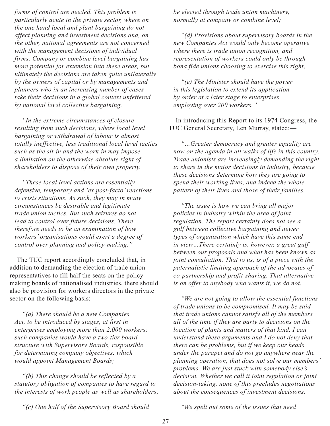*forms of control are needed. This problem is particularly acute in the private sector, where on the one hand local and plant bargaining do not affect planning and investment decisions and, on the other, national agreements are not concerned with the management decisions of individual firms. Company or combine level bargaining has more potential for extension into these areas, but ultimately the decisions are taken quite unilaterally by the owners of capital or by managements and planners who in an increasing number of cases take their decisions in a global context unfettered by national level collective bargaining.*

*"In the extreme circumstances of closure resulting from such decisions, where local level bargaining or withdrawal of labour is almost totally ineffective, less traditional local level tactics such as the sit-in and the work-in may impose a limitation on the otherwise absolute right of shareholders to dispose of their own property.*

*"These local level actions are essentially defensive, temporary and 'ex post-facto' reactions to crisis situations. As such, they may in many circumstances be desirable and legitimate trade union tactics. But such seizures do not lead to control over future decisions. There therefore needs to be an examination of how workers' organisations could exert a degree of control over planning and policy-making."*

The TUC report accordingly concluded that, in addition to demanding the election of trade union representatives to fill half the seats on the policymaking boards of nationalised industries, there should also be provision for workers directors in the private sector on the following basis:—

*"(a) There should be a new Companies Act, to be introduced by stages, at first in enterprises employing more than 2,000 workers; such companies would have a two-tier board structure with Supervisory Boards, responsible for determining company objectives, which would appoint Management Boards;*

*"(b) This change should be reflected by a statutory obligation of companies to have regard to the interests of work people as well as shareholders;* *be elected through trade union machinery, normally at company or combine level;*

*"(d) Provisions about supervisory boards in the new Companies Act would only become operative where there is trade union recognition, and representation of workers could only be through bona fide unions choosing to exercise this right;*

*"(e) The Minister should have the power in this legislation to extend its application by order at a later stage to enterprises employing over 200 workers."*

In introducing this Report to its 1974 Congress, the TUC General Secretary, Len Murray, stated:—

*"…Greater democracy and greater equality are now on the agenda in all walks of life in this country. Trade unionists are increasingly demanding the right to share in the major decisions in industry, because these decisions determine how they are going to spend their working lives, and indeed the whole pattern of their lives and those of their families.*

*"The issue is how we can bring all major policies in industry within the area of joint regulation. The report certainly does not see a gulf between collective bargaining and newer types of organisation which have this same end in view…There certainly is, however, a great gulf between our proposals and what has been known as joint consultation. That to us, is of a piece with the paternalistic limiting approach of the advocates of co-partnership and profit-sharing. That alternative is on offer to anybody who wants it, we do not.*

*"We are not going to allow the essential functions of trade unions to be compromised. It may be said that trade unions cannot satisfy all of the members all of the time if they are party to decisions on the location of plants and matters of that kind. I can understand these arguments and I do not deny that there can be problems, but if we keep our heads under the parapet and do not go anywhere near the planning operation, that does not solve our members' problems. We are just stuck with somebody else's decision. Whether we call it joint regulation or joint decision-taking, none of this precludes negotiations about the consequences of investment decisions.*

*"(c) One half of the Supervisory Board should* 

*"We spelt out some of the issues that need*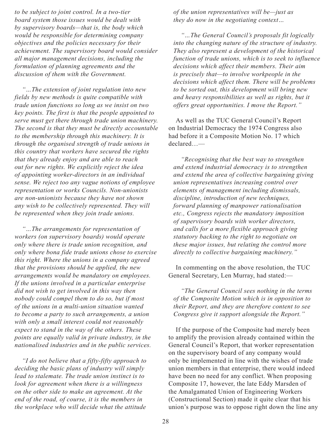*to be subject to joint control. In a two-tier board system those issues would be dealt with by supervisory boards—that is, the body which would be responsible for determining company objectives and the policies necessary for their achievement. The supervisory board would consider all major management decisions, including the formulation of planning agreements and the discussion of them with the Government.*

*"…The extension of joint regulation into new fields by new methods is quite compatible with trade union functions so long as we insist on two key points. The first is that the people appointed to serve must get there through trade union machinery. The second is that they must be directly accountable to the membership through this machinery. It is through the organised strength of trade unions in this country that workers have secured the rights that they already enjoy and are able to reach out for new rights. We explicitly reject the idea of appointing worker-directors in an individual sense. We reject too any vague notions of employee representation or works Councils. Non-unionists are non-unionists because they have not shown any wish to be collectively represented. They will be represented when they join trade unions.*

*"…The arrangements for representation of workers (on supervisory boards) would operate only where there is trade union recognition, and only where bona fide trade unions chose to exercise this right. Where the unions in a company agreed that the provisions should be applied, the new arrangements would be mandatory on employees. If the unions involved in a particular enterprise did not wish to get involved in this way then nobody could compel them to do so, but if most of the unions in a multi-union situation wanted to become a party to such arrangements, a union with only a small interest could not reasonably expect to stand in the way of the others. These points are equally valid in private industry, in the nationalised industries and in the public services.*

*"I do not believe that a fifty-fifty approach to deciding the basic plans of industry will simply lead to stalemate. The trade union instinct is to look for agreement when there is a willingness on the other side to make an agreement. At the end of the road, of course, it is the members in the workplace who will decide what the attitude* 

*of the union representatives will be—just as they do now in the negotiating context…*

*"…The General Council's proposals fit logically into the changing nature of the structure of industry. They also represent a development of the historical function of trade unions, which is to seek to influence decisions which affect their members. Their aim is precisely that—to involve workpeople in the decisions which affect them. There will be problems to be sorted out, this development will bring new and heavy responsibilities as well as rights, but it offers great opportunities. I move the Report."*

As well as the TUC General Council's Report on Industrial Democracy the 1974 Congress also had before it a Composite Motion No. 17 which declared…—

*"Recognising that the best way to strengthen and extend industrial democracy is to strengthen and extend the area of collective bargaining giving union representatives increasing control over elements of management including dismissals, discipline, introduction of new techniques, forward planning of manpower rationalisation etc., Congress rejects the mandatory imposition of supervisory boards with worker directors, and calls for a more flexible approach giving statutory backing to the right to negotiate on these major issues, but relating the control more directly to collective bargaining machinery."*

In commenting on the above resolution, the TUC General Secretary, Len Murray, had stated:—

*"The General Council sees nothing in the terms of the Composite Motion which is in opposition to their Report, and they are therefore content to see Congress give it support alongside the Report."*

If the purpose of the Composite had merely been to amplify the provision already contained within the General Council's Report, that worker representation on the supervisory board of any company would only be implemented in line with the wishes of trade union members in that enterprise, there would indeed have been no need for any conflict. When proposing Composite 17, however, the late Eddy Marsden of the Amalgamated Union of Engineering Workers (Constructional Section) made it quite clear that his union's purpose was to oppose right down the line any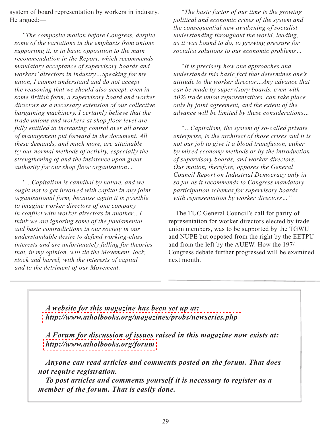system of board representation by workers in industry. He argued:—

*"The composite motion before Congress, despite some of the variations in the emphasis from unions supporting it, is in basic opposition to the main recommendation in the Report, which recommends mandatory acceptance of supervisory boards and workers' directors in industry…Speaking for my union, I cannot understand and do not accept the reasoning that we should also accept, even in some British form, a supervisory board and worker directors as a necessary extension of our collective bargaining machinery. I certainly believe that the trade unions and workers at shop floor level are fully entitled to increasing control over all areas of management put forward in the document. All these demands, and much more, are attainable by our normal methods of activity, especially the strengthening of and the insistence upon great authority for our shop floor organisation…*

*"…Capitalism is cannibal by nature, and we ought not to get involved with capital in any joint organisational form, because again it is possible to imagine worker directors of one company in conflict with worker directors in another…I think we are ignoring some of the fundamental and basic contradictions in our society in our understandable desire to defend working-class interests and are unfortunately falling for theories that, in my opinion, will tie the Movement, lock, stock and barrel, with the interests of capital and to the detriment of our Movement.*

*"The basic factor of our time is the growing political and economic crises of the system and the consequential new awakening of socialist understanding throughout the world, leading, as it was bound to do, to growing pressure for socialist solutions to our economic problems…*

*"It is precisely how one approaches and understands this basic fact that determines one's attitude to the worker director…Any advance that can be made by supervisory boards, even with 50% trade union representatives, can take place only by joint agreement, and the extent of the advance will be limited by these considerations…*

*"…Capitalism, the system of so-called private enterprise, is the architect of those crises and it is not our job to give it a blood transfusion, either by mixed economy methods or by the introduction of supervisory boards, and worker directors. Our motion, therefore, opposes the General Council Report on Industrial Democracy only in so far as it recommends to Congress mandatory participation schemes for supervisory boards with representation by worker directors…"*

The TUC General Council's call for parity of representation for worker directors elected by trade union members, was to be supported by the TGWU and NUPE but opposed from the right by the EETPU and from the left by the AUEW. How the 1974 Congress debate further progressed will be examined next month.

*A website for this magazine has been set up at: <http://www.atholbooks.org/magazines/probs/newseries.php>*

*A Forum for discussion of issues raised in this magazine now exists at: [http://www.atholbooks.org/forum](http://www.atholbooks.org/forum/)*

*Anyone can read articles and comments posted on the forum. That does not require registration.* 

*To post articles and comments yourself it is necessary to register as a member of the forum. That is easily done.*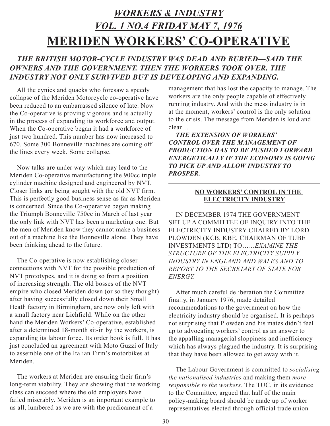# <span id="page-29-0"></span>*Workers & Industry Vol. 1 No.4 Friday May 7, 1976* **Meriden Workers' Co-operative**

### *THE BRITISH MOTOR-CYCLE INDUSTRY WAS DEAD AND BURIED—SAID THE OWNERS AND THE GOVERNMENT. THEN THE WORKERS TOOK OVER. THE INDUSTRY NOT ONLY SURVIVED BUT IS DEVELOPING AND EXPANDING.*

All the cynics and quacks who foresaw a speedy collapse of the Meriden Motorcycle co-operative have been reduced to an embarrassed silence of late. Now the Co-operative is proving vigorous and is actually in the process of expanding its workforce and output. When the Co-operative began it had a workforce of just two hundred. This number has now increased to 670. Some 300 Bonneville machines are coming off the lines every week. Some collapse.

Now talks are under way which may lead to the Meriden Co-operative manufacturing the 900cc triple cylinder machine designed and engineered by NVT. Closer links are being sought with the old NVT firm. This is perfectly good business sense as far as Meriden is concerned. Since the Co-operative began making the Triumph Bonneville 750cc in March of last year the only link with NVT has been a marketing one. But the men of Meriden know they cannot make a business out of a machine like the Bonneville alone. They have been thinking ahead to the future.

The Co-operative is now establishing closer connections with NVT for the possible production of NVT prototypes, and it is doing so from a position of increasing strength. The old bosses of the NVT empire who closed Meriden down (or so they thought) after having successfully closed down their Small Heath factory in Birmingham, are now only left with a small factory near Lichfield. While on the other hand the Meriden Workers' Co-operative, established after a determined 18-month sit-in by the workers, is expanding its labour force. Its order book is full. It has just concluded an agreement with Moto Guzzi of Italy to assemble one of the Italian Firm's motorbikes at Meriden.

The workers at Meriden are ensuring their firm's long-term viability. They are showing that the working class can succeed where the old employers have failed miserably. Meriden is an important example to us all, lumbered as we are with the predicament of a

management that has lost the capacity to manage. The workers are the only people capable of effectively running industry. And with the mess industry is in at the moment, workers' control is the only solution to the crisis. The message from Meriden is loud and clear…

*THE EXTENSION OF WORKERS' CONTROL OVER THE MANAGEMENT OF PRODUCTION HAS TO BE PUSHED FORWARD ENERGETICALLY IF THE ECONOMY IS GOING TO PICK UP AND ALLOW INDUSTRY TO PROSPER.*

### **NO WORKERS' CONTROL IN THE ELECTRICITY INDUSTRY**

IN DECEMBER 1974 THE GOVERNMENT SET UP A COMMITTEE OF INQUIRY INTO THE ELECTRICITY INDUSTRY CHAIRED BY LORD PLOWDEN (KCB, KBE, CHAIRMAN OF TUBE INVESTMENTS LTD) TO…*…EXAMINE THE STRUCTURE OF THE ELECTRICITY SUPPLY INDUSTRY IN ENGLAND AND WALES AND TO REPORT TO THE SECRETARY OF STATE FOR ENERGY.*

After much careful deliberation the Committee finally, in January 1976, made detailed recommendations to the government on how the electricity industry should be organised. It is perhaps not surprising that Plowden and his mates didn't feel up to advocating workers' control as an answer to the appalling managerial sloppiness and inefficiency which has always plagued the industry. It is surprising that they have been allowed to get away with it.

The Labour Government is committed to *socialising the nationalised industries* and making them *more responsible to the workers*. The TUC, in its evidence to the Committee, argued that half of the main policy-making board should be made up of worker representatives elected through official trade union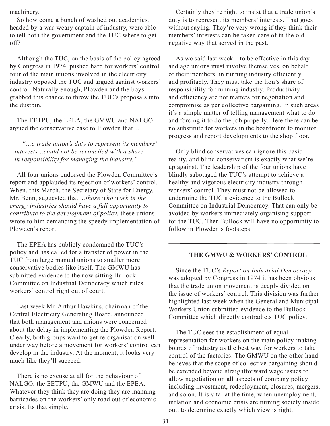machinery.

So how come a bunch of washed out academics, headed by a war-weary captain of industry, were able to tell both the government and the TUC where to get off?

Although the TUC, on the basis of the policy agreed by Congress in 1974, pushed hard for workers' control four of the main unions involved in the electricity industry opposed the TUC and argued against workers' control. Naturally enough, Plowden and the boys grabbed this chance to throw the TUC's proposals into the dustbin.

The EETPU, the EPEA, the GMWU and NALGO argued the conservative case to Plowden that…

*"…a trade union's duty to represent its members' interests…could not be reconciled with a share in responsibility for managing the industry."*

All four unions endorsed the Plowden Committee's report and applauded its rejection of workers' control. When, this March, the Secretary of State for Energy, Mr. Benn, suggested that *…those who work in the energy industries should have a full opportunity to contribute to the development of policy*, these unions wrote to him demanding the speedy implementation of Plowden's report.

The EPEA has publicly condemned the TUC's policy and has called for a transfer of power in the TUC from large manual unions to smaller more conservative bodies like itself. The GMWU has submitted evidence to the now sitting Bullock Committee on Industrial Democracy which rules workers' control right out of court.

Last week Mr. Arthur Hawkins, chairman of the Central Electricity Generating Board, announced that both management and unions were concerned about the delay in implementing the Plowden Report. Clearly, both groups want to get re-organisation well under way before a movement for workers' control can develop in the industry. At the moment, it looks very much like they'll succeed.

There is no excuse at all for the behaviour of NALGO, the EETPU, the GMWU and the EPEA. Whatever they think they are doing they are manning barricades on the workers' only road out of economic crisis. Its that simple.

Certainly they're right to insist that a trade union's duty is to represent its members' interests. That goes without saying. They're very wrong if they think their members' interests can be taken care of in the old negative way that served in the past.

As we said last week—to be effective in this day and age unions must involve themselves, on behalf of their members, in running industry efficiently and profitably. They must take the lion's share of responsibility for running industry. Productivity and efficiency are not matters for negotiation and compromise as per collective bargaining. In such areas it's a simple matter of telling management what to do and forcing it to do the job properly. Here there can be no substitute for workers in the boardroom to monitor progress and report developments to the shop floor.

Only blind conservatives can ignore this basic reality, and blind conservatism is exactly what we're up against. The leadership of the four unions have blindly sabotaged the TUC's attempt to achieve a healthy and vigorous electricity industry through workers' control. They must not be allowed to undermine the TUC's evidence to the Bullock Committee on Industrial Democracy. That can only be avoided by workers immediately organising support for the TUC. Then Bullock will have no opportunity to follow in Plowden's footsteps.

### **THE GMWU & WORKERS' CONTROL**

Since the TUC's *Report on Industrial Democracy* was adopted by Congress in 1974 it has been obvious that the trade union movement is deeply divided on the issue of workers' control. This division was further highlighted last week when the General and Municipal Workers Union submitted evidence to the Bullock Committee which directly contradicts TUC policy.

The TUC sees the establishment of equal representation for workers on the main policy-making boards of industry as the best way for workers to take control of the factories. The GMWU on the other hand believes that the scope of collective bargaining should be extended beyond straightforward wage issues to allow negotiation on all aspects of company policy including investment, redeployment, closures, mergers, and so on. It is vital at the time, when unemployment, inflation and economic crisis are turning society inside out, to determine exactly which view is right.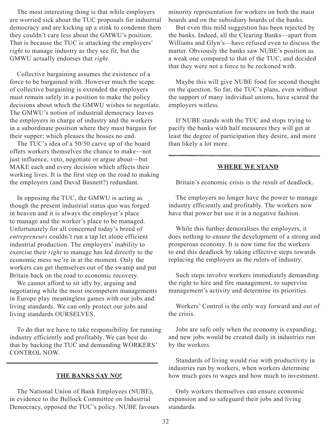The most interesting thing is that while employers are worried sick about the TUC proposals for industrial democracy and are kicking up a stink to condemn them they couldn't care less about the GMWU's position. That is because the TUC is attacking the employers' *right* to manage industry as they see fit, but the GMWU actually endorses that *right*.

Collective bargaining assumes the existence of a force to be bargained with. However much the scope of collective bargaining is extended the employers must remain safely in a position to make the policy decisions about which the GMWU wishes to negotiate. The GMWU's notion of industrial democracy leaves the employers in charge of industry and the workers in a subordinate position where they must bargain for their supper; which pleases the bosses no end.

The TUC's idea of a 50/50 carve up of the board offers workers themselves the chance to make—not just influence, veto, negotiate or argue about—but MAKE each and every decision which affects their working lives. It is the first step on the road to making the employers (and David Basnett?) redundant.

In opposing the TUC, the GMWU is acting as though the present industrial status quo was forged in heaven and it is always the employer's place to manage and the worker's place to be managed. Unfortunately for all concerned today's breed of *entrepreneurs* couldn't run a tap let alone efficient industrial production. The employers' inability to exercise their *right* to manage has led directly to the economic mess we're in at the moment. Only the workers can get themselves out of the swamp and put Britain back on the road to economic recovery.

We cannot afford to sit idly by, arguing and negotiating while the most incompetent managements in Europe play meaningless games with our jobs and living standards. We can only protect our jobs and living standards OURSELVES.

To do that we have to take responsibility for running industry efficiently and profitably. We can best do that by backing the TUC and demanding WORKERS' CONTROL NOW.

### **THE BANKS SAY NO!**

The National Union of Bank Employees (NUBE), in evidence to the Bullock Committee on Industrial Democracy, opposed the TUC's policy. NUBE favours minority representation for workers on both the main boards and on the subsidiary boards of the banks.

But even this mild suggestion has been rejected by the banks. Indeed, all the Clearing Banks—apart from Williams and Glyn's—have refused even to discuss the matter. Obviously the banks saw NUBE's position as a weak one compared to that of the TUC, and decided that they were not a force to be reckoned with.

Maybe this will give NUBE food for second thought on the question. So far, the TUC's plans, even without the support of many individual unions, have scared the employers witless.

If NUBE stands with the TUC and stops trying to pacify the banks with half measures they will get at least the degree of participation they desire, and more than likely a lot more.

### **WHERE WE STAND**

Britain's economic crisis is the result of deadlock.

The employers no longer have the power to manage industry efficiently and profitably. The workers now have that power but use it in a negative fashion.

While this further demoralises the employers, it does nothing to ensure the development of a strong and prosperous economy. It is now time for the workers to end this deadlock by taking effective steps towards replacing the employers as the rulers of industry.

Such steps involve workers immediately demanding the right to hire and fire management, to supervise management's activity and determine its priorities.

Workers' Control is the only way forward and out of the crisis.

Jobs are safe only when the economy is expanding; and new jobs would be created daily in industries run by the workers.

Standards of living would rise with productivity in industries run by workers, when workers determine how much goes to wages and how much to investment.

Only workers themselves can ensure economic expansion and so safeguard their jobs and living standards.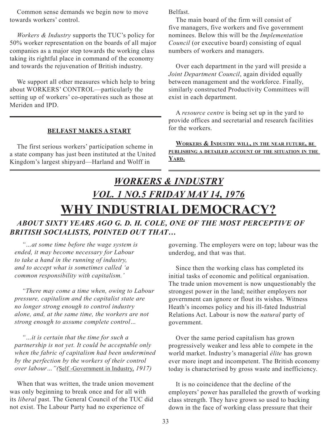<span id="page-32-0"></span>Common sense demands we begin now to move towards workers' control.

*Workers & Industry* supports the TUC's policy for 50% worker representation on the boards of all major companies as a major step towards the working class taking its rightful place in command of the economy and towards the rejuvenation of British industry.

We support all other measures which help to bring about WORKERS' CONTROL—particularly the setting up of workers' co-operatives such as those at Meriden and IPD.

### **BELFAST MAKES A START**

The first serious workers' participation scheme in a state company has just been instituted at the United Kingdom's largest shipyard—Harland and Wolff in

Belfast.

The main board of the firm will consist of five managers, five workers and five government nominees. Below this will be the *Implementation Council* (or executive board) consisting of equal numbers of workers and managers.

Over each department in the yard will preside a *Joint Department Council*, again divided equally between management and the workforce. Finally, similarly constructed Productivity Committees will exist in each department.

A *resource centre* is being set up in the yard to provide offices and secretarial and research facilities for the workers.

**Workers & Industry will, in the near future, be publishing a detailed account of the situation in the Yard.**

# *Workers & Industry Vol. 1 No.5 Friday May 14, 1976* **Why Industrial Democracy?**

### *ABOUT SIXTY YEARS AGO G. D. H. COLE, ONE OF THE MOST PERCEPTIVE OF BRITISH SOCIALISTS, POINTED OUT THAT…*

*"…at some time before the wage system is ended, it may become necessary for Labour to take a hand in the running of industry, and to accept what is sometimes called 'a common responsibility with capitalism.'* 

*"There may come a time when, owing to Labour pressure, capitalism and the capitalist state are no longer strong enough to control industry alone, and, at the same time, the workers are not strong enough to assume complete control…*

*"…it is certain that the time for such a partnership is not yet. It could be acceptable only when the fabric of capitalism had been undermined by the perfection by the workers of their control over labour…"(*Self -Government in Industry, *1917)*

When that was written, the trade union movement was only beginning to break once and for all with its *liberal* past. The General Council of the TUC did not exist. The Labour Party had no experience of

governing. The employers were on top; labour was the underdog, and that was that.

Since then the working class has completed its initial tasks of economic and political organisation. The trade union movement is now unquestionably the strongest power in the land; neither employers nor government can ignore or flout its wishes. Witness Heath's incomes policy and his ill-fated Industrial Relations Act. Labour is now the *natural* party of government.

Over the same period capitalism has grown progressively weaker and less able to compete in the world market. Industry's managerial *élite* has grown ever more inept and incompetent. The British economy today is characterised by gross waste and inefficiency.

It is no coincidence that the decline of the employers' power has paralleled the growth of working class strength. They have grown so used to backing down in the face of working class pressure that their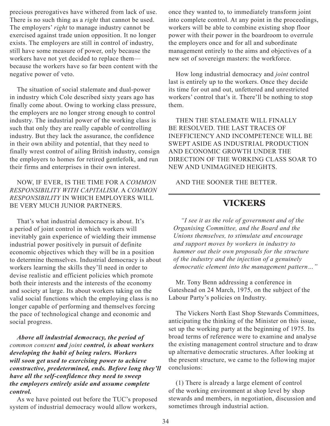precious prerogatives have withered from lack of use. There is no such thing as a *right* that cannot be used. The employers' *right* to manage industry cannot be exercised against trade union opposition. It no longer exists. The employers are still in control of industry, still have some measure of power, only because the workers have not yet decided to replace them because the workers have so far been content with the negative power of veto.

The situation of social stalemate and dual-power in industry which Cole described sixty years ago has finally come about. Owing to working class pressure, the employers are no longer strong enough to control industry. The industrial power of the working class is such that only they are really capable of controlling industry. But they lack the assurance, the confidence in their own ability and potential, that they need to finally wrest control of ailing British industry, consign the employers to homes for retired gentlefolk, and run their firms and enterprises in their own interest.

NOW, IF EVER, IS THE TIME FOR A *COMMON RESPONSIBILITY WITH CAPITALISM*. A *COMMON RESPONSIBILITY* IN WHICH EMPLOYERS WILL BE VERY MUCH JUNIOR PARTNERS.

That's what industrial democracy is about. It's a period of joint control in which workers will inevitably gain experience of wielding their immense industrial power positively in pursuit of definite economic objectives which they will be in a position to determine themselves. Industrial democracy is about workers learning the skills they'll need in order to devise realistic and efficient policies which promote both their interests and the interests of the economy and society at large. Its about workers taking on the valid social functions which the employing class is no longer capable of performing and themselves forcing the pace of technological change and economic and social progress.

*Above all industrial democracy, the period of common consent and joint control, is about workers developing the habit of being rulers. Workers will soon get used to exercising power to achieve constructive, predetermined, ends. Before long they'll have all the self-confidence they need to sweep the employers entirely aside and assume complete control.*

As we have pointed out before the TUC's proposed system of industrial democracy would allow workers,

once they wanted to, to immediately transform joint into complete control. At any point in the proceedings, workers will be able to combine existing shop floor power with their power in the boardroom to overrule the employers once and for all and subordinate management entirely to the aims and objectives of a new set of sovereign masters: the workforce.

How long industrial democracy and *joint* control last is entirely up to the workers. Once they decide its time for out and out, unfettered and unrestricted workers' control that's it. There'll be nothing to stop them.

THEN THE STALEMATE WILL FINALLY BE RESOLVED. THE LAST TRACES OF INEFFICIENCY AND INCOMPETENCE WILL BE SWEPT ASIDE AS INDUSTRIAL PRODUCTION AND ECONOMIC GROWTH UNDER THE DIRECTION OF THE WORKING CLASS SOAR TO NEW AND UNIMAGINED HEIGHTS.

AND THE SOONER THE BETTER.

### **VICKERS**

*"I see it as the role of government and of the Organising Committee, and the Board and the Unions themselves, to stimulate and encourage and support moves by workers in industry to hammer out their own proposals for the structure of the industry and the injection of a genuinely democratic element into the management pattern…"*

Mr. Tony Benn addressing a conference in Gateshead on 24 March, 1975, on the subject of the Labour Party's policies on Industry.

The Vickers North East Shop Stewards Committees, anticipating the thinking of the Minister on this issue, set up the working party at the beginning of 1975. Its broad terms of reference were to examine and analyse the existing management control structure and to draw up alternative democratic structures. After looking at the present structure, we came to the following major conclusions:

(1) There is already a large element of control of the working environment at shop level by shop stewards and members, in negotiation, discussion and sometimes through industrial action.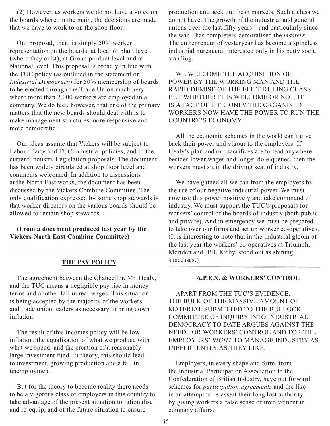(2) However, as workers we do not have a voice on the boards where, in the main, the decisions are made that we have to work to on the shop floor.

Our proposal, then, is simply 50% worker representation on the boards, at local or plant level (where they exist), at Group product level and at National level. This proposal is broadly in line with the TUC policy (as outlined in the statement on *Industrial Democracy*) for 50% membership of boards to be elected through the Trade Union machinery where more than 2,000 workers are employed in a company. We do feel, however, that one of the primary matters that the new boards should deal with is to make management structures more responsive and more democratic.

Our ideas assume that Vickers will be subject to Labour Party and TUC industrial policies, and to the current Industry Legislation proposals. The document has been widely circulated at shop floor level and comments welcomed. In addition to discussions at the North East works, the document has been discussed by the Vickers Combine Committee. The only qualification expressed by some shop stewards is that worker directors on the various boards should be allowed to remain shop stewards.

**(From a document produced last year by the Vickers North East Combine Committee)**

### **THE PAY POLICY**

The agreement between the Chancellor, Mr. Healy, and the TUC means a negligible pay rise in money terms and another fall in real wages. This situation is being accepted by the majority of the workers and trade union leaders as necessary to bring down inflation.

The result of this incomes policy will be low inflation, the equalisation of what we produce with what we spend, and the creation of a reasonably large investment fund. In theory, this should lead to investment, growing production and a fall in unemployment.

But for the theory to become reality there needs to be a vigorous class of employers in this country to take advantage of the present situation to rationalise and re-equip, and of the future situation to ensure

production and seek out fresh markets. Such a class we do not have. The growth of the industrial and general unions over the last fifty years—and particularly since the war—has completely demoralised the *masters*. The entrepreneur of yesteryear has become a spineless industrial bureaucrat interested only in his petty social standing.

WE WELCOME THE ACQUISITION OF POWER BY THE WORKING MAN AND THE RAPID DEMISE OF THE ÉLITE RULING CLASS. BUT WHETHER IT IS WELCOME OR NOT, IT IS A FACT OF LIFE. ONLY THE ORGANISED WORKERS NOW HAVE THE POWER TO RUN THE COUNTRY'S ECONOMY.

All the economic schemes in the world can't give back their power and vigour to the employers. If Healy's plan and our sacrifices are to lead anywhere besides lower wages and longer dole queues, then the workers must sit in the driving seat of industry.

We have gained all we can from the employers by the use of our negative industrial power. We must now use this power positively and take command of industry. We must support the TUC's proposals for workers' control of the boards of industry (both public and private). And in emergency we must be prepared to take over our firms and set up worker co-operatives. (It is interesting to note that in the industrial gloom of the last year the workers' co-operatives at Triumph, Meriden and IPD, Kirby, stood out as shining successes.)

### **A.P.E.X. & WORKERS' CONTROL**

APART FROM THE TUC'S EVIDENCE, THE BULK OF THE MASSIVE AMOUNT OF MATERIAL SUBMITTED TO THE BULLOCK COMMITTEE OF INQUIRY INTO INDUSTRIAL DEMOCRACY TO DATE ARGUES AGAINST THE NEED FOR WORKERS' CONTROL AND FOR THE EMPLOYERS' *RIGHT* TO MANAGE INDUSTRY AS INEFFICIENTLY AS THEY LIKE.

Employers, in every shape and form, from the Industrial Participation Association to the Confederation of British Industry, have put forward schemes for *participation agreements* and the like in an attempt to re-assert their long lost authority by giving workers a false sense of involvement in company affairs.